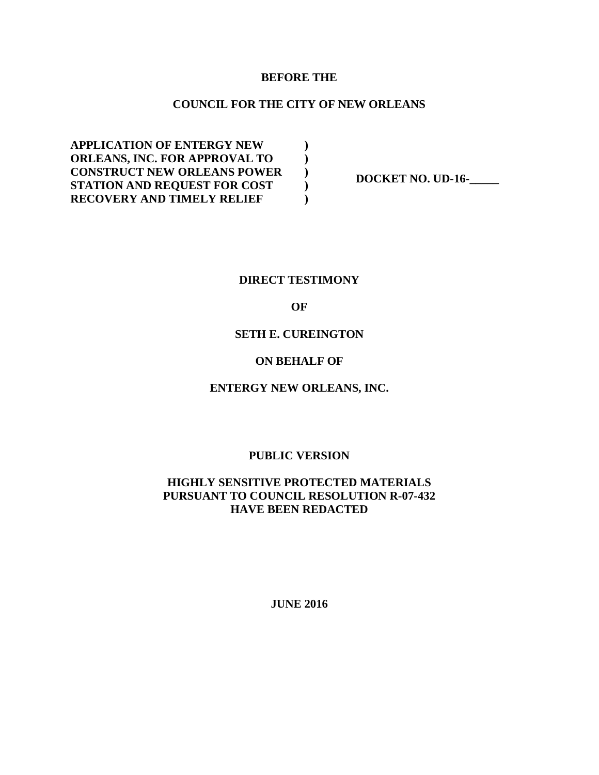#### **BEFORE THE**

#### **COUNCIL FOR THE CITY OF NEW ORLEANS**

**) ) ) ) )**

**APPLICATION OF ENTERGY NEW ORLEANS, INC. FOR APPROVAL TO CONSTRUCT NEW ORLEANS POWER STATION AND REQUEST FOR COST RECOVERY AND TIMELY RELIEF** 

**DOCKET NO. UD-16-\_\_\_\_\_** 

#### **DIRECT TESTIMONY**

#### **OF**

#### **SETH E. CUREINGTON**

#### **ON BEHALF OF**

#### **ENTERGY NEW ORLEANS, INC.**

#### **PUBLIC VERSION**

#### **HIGHLY SENSITIVE PROTECTED MATERIALS PURSUANT TO COUNCIL RESOLUTION R-07-432 HAVE BEEN REDACTED**

**JUNE 2016**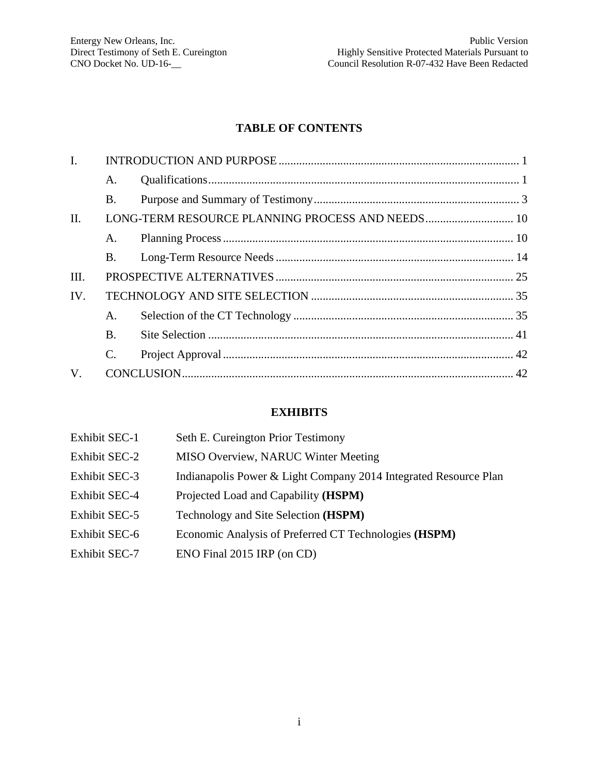#### **TABLE OF CONTENTS**

| I.      |           |  |
|---------|-----------|--|
|         | A.        |  |
|         | <b>B.</b> |  |
| $\Pi$ . |           |  |
|         | A.        |  |
|         | <b>B.</b> |  |
| III.    |           |  |
| IV.     |           |  |
|         | A.        |  |
|         | <b>B.</b> |  |
|         | C.        |  |
| V.      |           |  |
|         |           |  |

#### **EXHIBITS**

| <b>Exhibit SEC-1</b> | Seth E. Cureington Prior Testimony                               |
|----------------------|------------------------------------------------------------------|
| <b>Exhibit SEC-2</b> | <b>MISO Overview, NARUC Winter Meeting</b>                       |
| <b>Exhibit SEC-3</b> | Indianapolis Power & Light Company 2014 Integrated Resource Plan |
| <b>Exhibit SEC-4</b> | Projected Load and Capability ( <b>HSPM</b> )                    |
| Exhibit SEC-5        | Technology and Site Selection ( <b>HSPM</b> )                    |
| <b>Exhibit SEC-6</b> | Economic Analysis of Preferred CT Technologies (HSPM)            |
| <b>Exhibit SEC-7</b> | ENO Final 2015 IRP (on CD)                                       |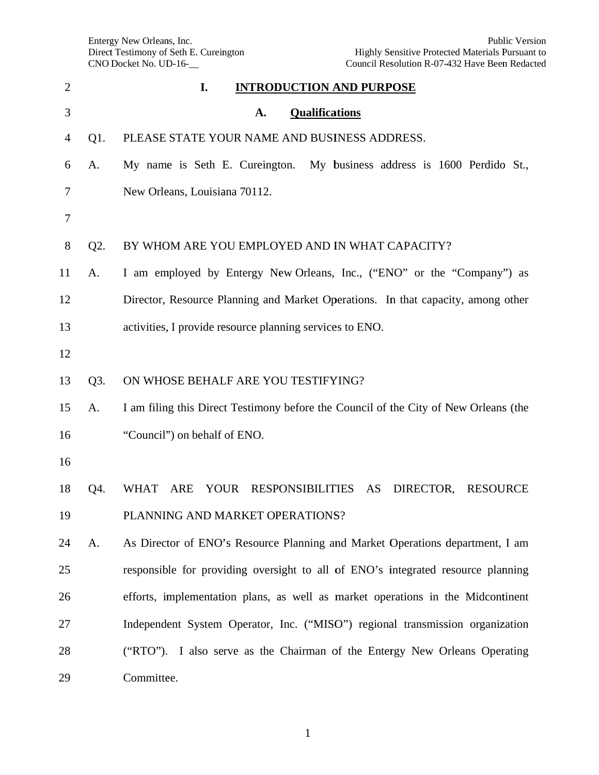Enterg Direct CNO D gy New Orlean t Testimony of Docket No. UD ns, Inc. f Seth E. Curein  $D-16$ ngton

| $\overline{2}$ |        | I.<br><b>INTRODUCTION AND PURPOSE</b>                                                |
|----------------|--------|--------------------------------------------------------------------------------------|
| 3              |        | <b>Qualifications</b><br>A.                                                          |
| 4              | $Q1$ . | PLEASE STATE YOUR NAME AND BUSINESS ADDRESS.                                         |
| 6              | A.     | My name is Seth E. Cureington. My business address is 1600 Perdido St.,              |
| 7              |        | New Orleans, Louisiana 70112.                                                        |
| 7              |        |                                                                                      |
| 8              | Q2.    | BY WHOM ARE YOU EMPLOYED AND IN WHAT CAPACITY?                                       |
| 11             | A.     | I am employed by Entergy New Orleans, Inc., ("ENO" or the "Company") as              |
| 12             |        | Director, Resource Planning and Market Operations. In that capacity, among other     |
| 13             |        | activities, I provide resource planning services to ENO.                             |
| 12             |        |                                                                                      |
| 13             | Q3.    | ON WHOSE BEHALF ARE YOU TESTIFYING?                                                  |
| 15             | A.     | I am filing this Direct Testimony before the Council of the City of New Orleans (the |
| 16             |        | "Council") on behalf of ENO.                                                         |
| 16             |        |                                                                                      |
| 18             | Q4.    | <b>WHAT</b><br>ARE<br>YOUR<br><b>RESPONSIBILITIES</b><br>AS<br>DIRECTOR,<br>RESOURCE |
| 19             |        | PLANNING AND MARKET OPERATIONS?                                                      |
| 24             | A.     | As Director of ENO's Resource Planning and Market Operations department, I am        |
| 25             |        | responsible for providing oversight to all of ENO's integrated resource planning     |
| 26             |        | efforts, implementation plans, as well as market operations in the Midcontinent      |
| 27             |        | Independent System Operator, Inc. ("MISO") regional transmission organization        |
| 28             |        | ("RTO"). I also serve as the Chairman of the Entergy New Orleans Operating           |
| 29             |        | Committee.                                                                           |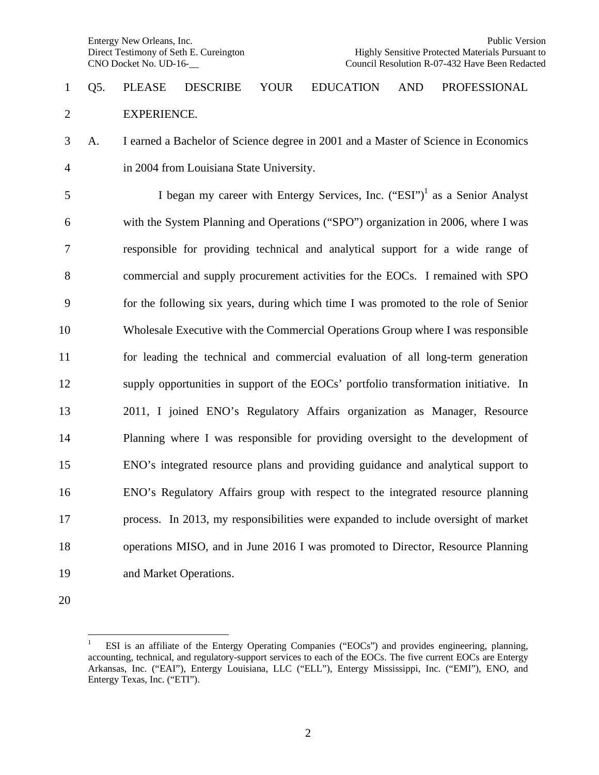### Q5. PLEASE DESCRIBE YOUR EDUCATION AND PROFESSIONAL EXPERIENCE.

 A. I earned a Bachelor of Science degree in 2001 and a Master of Science in Economics in 2004 from Louisiana State University.

 began my career with Entergy Services, Inc.  $("ESI")^1$  as a Senior Analyst with the System Planning and Operations ("SPO") organization in 2006, where I was responsible for providing technical and analytical support for a wide range of commercial and supply procurement activities for the EOCs. I remained with SPO for the following six years, during which time I was promoted to the role of Senior Wholesale Executive with the Commercial Operations Group where I was responsible for leading the technical and commercial evaluation of all long-term generation supply opportunities in support of the EOCs' portfolio transformation initiative. In 2011, I joined ENO's Regulatory Affairs organization as Manager, Resource Planning where I was responsible for providing oversight to the development of ENO's integrated resource plans and providing guidance and analytical support to ENO's Regulatory Affairs group with respect to the integrated resource planning process. In 2013, my responsibilities were expanded to include oversight of market operations MISO, and in June 2016 I was promoted to Director, Resource Planning and Market Operations.

 ESI is an affiliate of the Entergy Operating Companies ("EOCs") and provides engineering, planning, accounting, technical, and regulatory-support services to each of the EOCs. The five current EOCs are Entergy Arkansas, Inc. ("EAI"), Entergy Louisiana, LLC ("ELL"), Entergy Mississippi, Inc. ("EMI"), ENO, and Entergy Texas, Inc. ("ETI").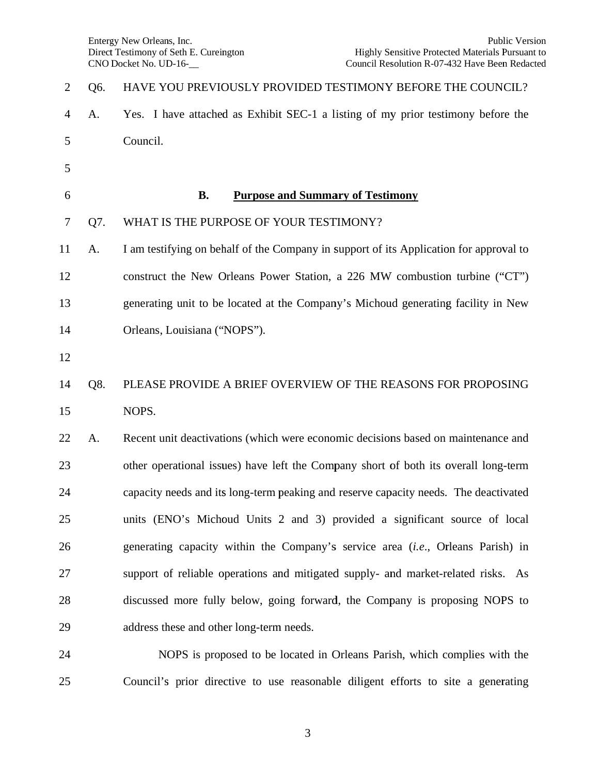25

| $\overline{2}$ | Q6. | HAVE YOU PREVIOUSLY PROVIDED TESTIMONY BEFORE THE COUNCIL?                              |
|----------------|-----|-----------------------------------------------------------------------------------------|
| $\overline{4}$ | A.  | Yes. I have attached as Exhibit SEC-1 a listing of my prior testimony before the        |
| 5              |     | Council.                                                                                |
| 5              |     |                                                                                         |
| 6              |     | <b>B.</b><br><b>Purpose and Summary of Testimony</b>                                    |
| $\tau$         | Q7. | WHAT IS THE PURPOSE OF YOUR TESTIMONY?                                                  |
| 11             | A.  | I am testifying on behalf of the Company in support of its Application for approval to  |
| 12             |     | construct the New Orleans Power Station, a 226 MW combustion turbine ("CT")             |
| 13             |     | generating unit to be located at the Company's Michoud generating facility in New       |
| 14             |     | Orleans, Louisiana ("NOPS").                                                            |
| 12             |     |                                                                                         |
| 14             | Q8. | PLEASE PROVIDE A BRIEF OVERVIEW OF THE REASONS FOR PROPOSING                            |
| 15             |     | NOPS.                                                                                   |
| 22             | A.  | Recent unit deactivations (which were economic decisions based on maintenance and       |
| 23             |     | other operational issues) have left the Company short of both its overall long-term     |
| 24             |     | capacity needs and its long-term peaking and reserve capacity needs. The deactivated    |
| 25             |     | units (ENO's Michoud Units 2 and 3) provided a significant source of local              |
| 26             |     | generating capacity within the Company's service area <i>(i.e.</i> , Orleans Parish) in |
| 27             |     | support of reliable operations and mitigated supply- and market-related risks. As       |
| 28             |     | discussed more fully below, going forward, the Company is proposing NOPS to             |
| 29             |     | address these and other long-term needs.                                                |
| 24             |     | NOPS is proposed to be located in Orleans Parish, which complies with the               |

Council's prior directive to use reasonable diligent efforts to site a generating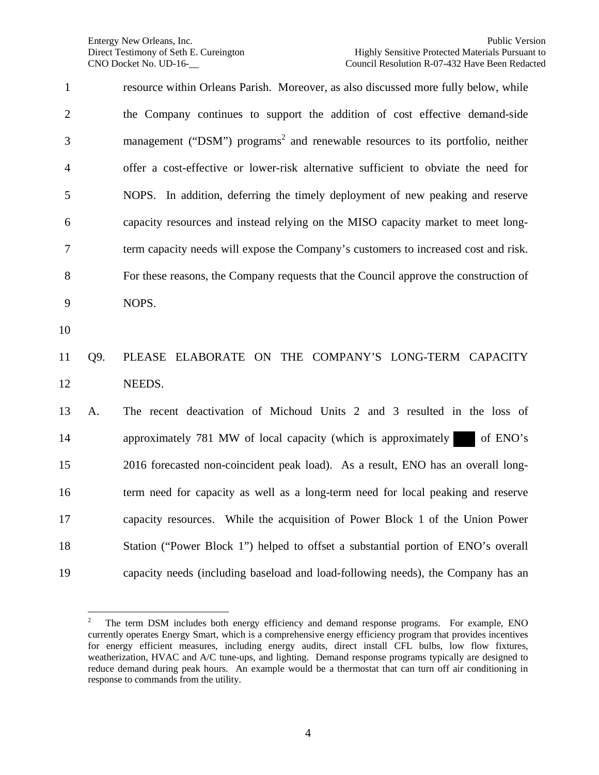resource within Orleans Parish. Moreover, as also discussed more fully below, while the Company continues to support the addition of cost effective demand-side 3 management ("DSM") programs<sup>2</sup> and renewable resources to its portfolio, neither offer a cost-effective or lower-risk alternative sufficient to obviate the need for NOPS. In addition, deferring the timely deployment of new peaking and reserve capacity resources and instead relying on the MISO capacity market to meet long- term capacity needs will expose the Company's customers to increased cost and risk. For these reasons, the Company requests that the Council approve the construction of NOPS. Q9. PLEASE ELABORATE ON THE COMPANY'S LONG-TERM CAPACITY NEEDS. A. The recent deactivation of Michoud Units 2 and 3 resulted in the loss of 14 approximately 781 MW of local capacity (which is approximately of ENO's 2016 forecasted non-coincident peak load). As a result, ENO has an overall long- term need for capacity as well as a long-term need for local peaking and reserve capacity resources. While the acquisition of Power Block 1 of the Union Power Station ("Power Block 1") helped to offset a substantial portion of ENO's overall capacity needs (including baseload and load-following needs), the Company has an

 The term DSM includes both energy efficiency and demand response programs. For example, ENO currently operates Energy Smart, which is a comprehensive energy efficiency program that provides incentives for energy efficient measures, including energy audits, direct install CFL bulbs, low flow fixtures, weatherization, HVAC and A/C tune-ups, and lighting. Demand response programs typically are designed to reduce demand during peak hours. An example would be a thermostat that can turn off air conditioning in response to commands from the utility.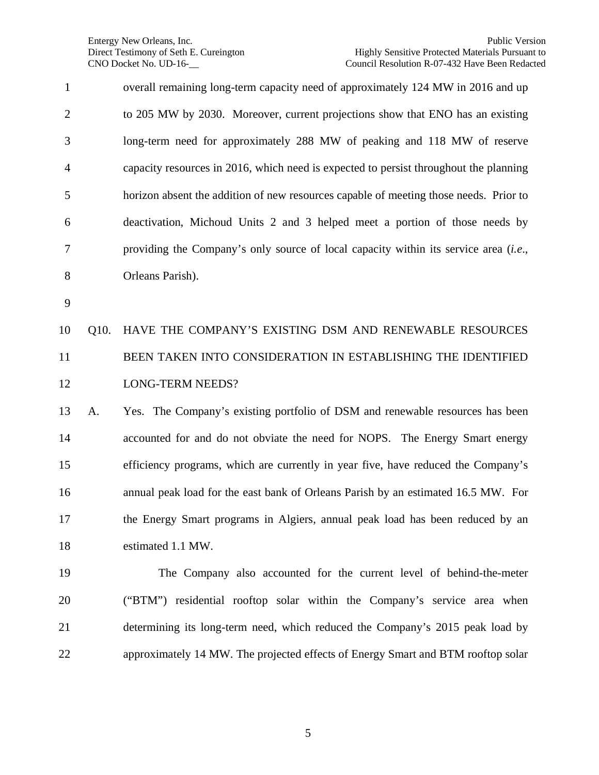| $\mathbf{1}$   |      | overall remaining long-term capacity need of approximately 124 MW in 2016 and up      |
|----------------|------|---------------------------------------------------------------------------------------|
| $\overline{c}$ |      | to 205 MW by 2030. Moreover, current projections show that ENO has an existing        |
| 3              |      | long-term need for approximately 288 MW of peaking and 118 MW of reserve              |
| $\overline{4}$ |      | capacity resources in 2016, which need is expected to persist throughout the planning |
| 5              |      | horizon absent the addition of new resources capable of meeting those needs. Prior to |
| 6              |      | deactivation, Michoud Units 2 and 3 helped meet a portion of those needs by           |
| 7              |      | providing the Company's only source of local capacity within its service area (i.e.,  |
| 8              |      | Orleans Parish).                                                                      |
| 9              |      |                                                                                       |
| 10             | Q10. | HAVE THE COMPANY'S EXISTING DSM AND RENEWABLE RESOURCES                               |
| 11             |      | BEEN TAKEN INTO CONSIDERATION IN ESTABLISHING THE IDENTIFIED                          |
| 12             |      | <b>LONG-TERM NEEDS?</b>                                                               |
| 13             | A.   | Yes. The Company's existing portfolio of DSM and renewable resources has been         |
| 14             |      | accounted for and do not obviate the need for NOPS. The Energy Smart energy           |
| 15             |      | efficiency programs, which are currently in year five, have reduced the Company's     |
| 16             |      | annual peak load for the east bank of Orleans Parish by an estimated 16.5 MW. For     |
| 17             |      | the Energy Smart programs in Algiers, annual peak load has been reduced by an         |
| 18             |      | estimated 1.1 MW.                                                                     |
| 19             |      | The Company also accounted for the current level of behind-the-meter                  |
| 20             |      | ("BTM") residential rooftop solar within the Company's service area when              |
| 21             |      | determining its long-term need, which reduced the Company's 2015 peak load by         |
| 22             |      | approximately 14 MW. The projected effects of Energy Smart and BTM rooftop solar      |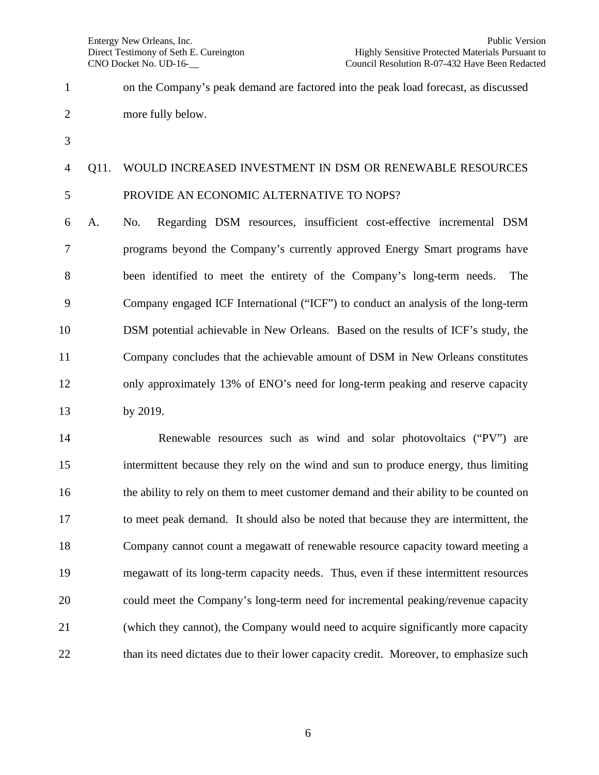on the Company's peak demand are factored into the peak load forecast, as discussed more fully below. Q11. WOULD INCREASED INVESTMENT IN DSM OR RENEWABLE RESOURCES PROVIDE AN ECONOMIC ALTERNATIVE TO NOPS? A. No. Regarding DSM resources, insufficient cost-effective incremental DSM programs beyond the Company's currently approved Energy Smart programs have been identified to meet the entirety of the Company's long-term needs. The

 Company engaged ICF International ("ICF") to conduct an analysis of the long-term DSM potential achievable in New Orleans. Based on the results of ICF's study, the Company concludes that the achievable amount of DSM in New Orleans constitutes only approximately 13% of ENO's need for long-term peaking and reserve capacity by 2019.

 Renewable resources such as wind and solar photovoltaics ("PV") are intermittent because they rely on the wind and sun to produce energy, thus limiting the ability to rely on them to meet customer demand and their ability to be counted on to meet peak demand. It should also be noted that because they are intermittent, the Company cannot count a megawatt of renewable resource capacity toward meeting a megawatt of its long-term capacity needs. Thus, even if these intermittent resources could meet the Company's long-term need for incremental peaking/revenue capacity (which they cannot), the Company would need to acquire significantly more capacity 22 than its need dictates due to their lower capacity credit. Moreover, to emphasize such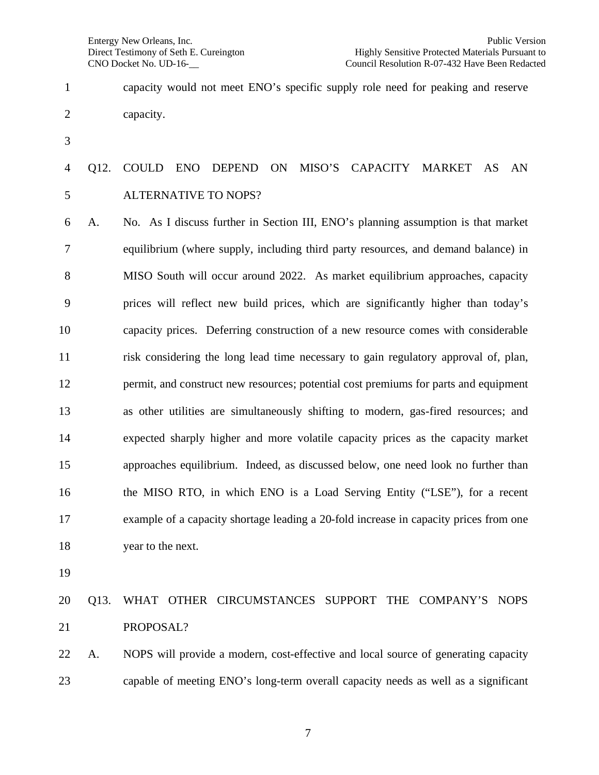- capacity would not meet ENO's specific supply role need for peaking and reserve capacity.
- 

### Q12. COULD ENO DEPEND ON MISO'S CAPACITY MARKET AS AN ALTERNATIVE TO NOPS?

 A. No. As I discuss further in Section III, ENO's planning assumption is that market equilibrium (where supply, including third party resources, and demand balance) in MISO South will occur around 2022. As market equilibrium approaches, capacity prices will reflect new build prices, which are significantly higher than today's capacity prices. Deferring construction of a new resource comes with considerable risk considering the long lead time necessary to gain regulatory approval of, plan, permit, and construct new resources; potential cost premiums for parts and equipment as other utilities are simultaneously shifting to modern, gas-fired resources; and expected sharply higher and more volatile capacity prices as the capacity market approaches equilibrium. Indeed, as discussed below, one need look no further than the MISO RTO, in which ENO is a Load Serving Entity ("LSE"), for a recent example of a capacity shortage leading a 20-fold increase in capacity prices from one year to the next.

### Q13. WHAT OTHER CIRCUMSTANCES SUPPORT THE COMPANY'S NOPS PROPOSAL?

 A. NOPS will provide a modern, cost-effective and local source of generating capacity capable of meeting ENO's long-term overall capacity needs as well as a significant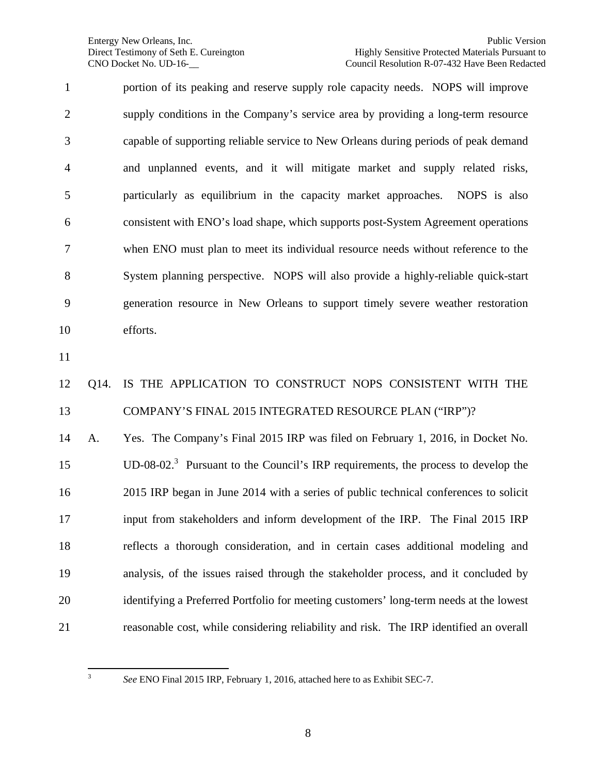portion of its peaking and reserve supply role capacity needs. NOPS will improve supply conditions in the Company's service area by providing a long-term resource capable of supporting reliable service to New Orleans during periods of peak demand and unplanned events, and it will mitigate market and supply related risks, particularly as equilibrium in the capacity market approaches. NOPS is also consistent with ENO's load shape, which supports post-System Agreement operations when ENO must plan to meet its individual resource needs without reference to the System planning perspective. NOPS will also provide a highly-reliable quick-start generation resource in New Orleans to support timely severe weather restoration efforts.

### Q14. IS THE APPLICATION TO CONSTRUCT NOPS CONSISTENT WITH THE COMPANY'S FINAL 2015 INTEGRATED RESOURCE PLAN ("IRP")?

 A. Yes. The Company's Final 2015 IRP was filed on February 1, 2016, in Docket No. 15 UD-08-02.<sup>3</sup> Pursuant to the Council's IRP requirements, the process to develop the 2015 IRP began in June 2014 with a series of public technical conferences to solicit input from stakeholders and inform development of the IRP. The Final 2015 IRP reflects a thorough consideration, and in certain cases additional modeling and analysis, of the issues raised through the stakeholder process, and it concluded by identifying a Preferred Portfolio for meeting customers' long-term needs at the lowest reasonable cost, while considering reliability and risk. The IRP identified an overall

*See* ENO Final 2015 IRP, February 1, 2016, attached here to as Exhibit SEC-7.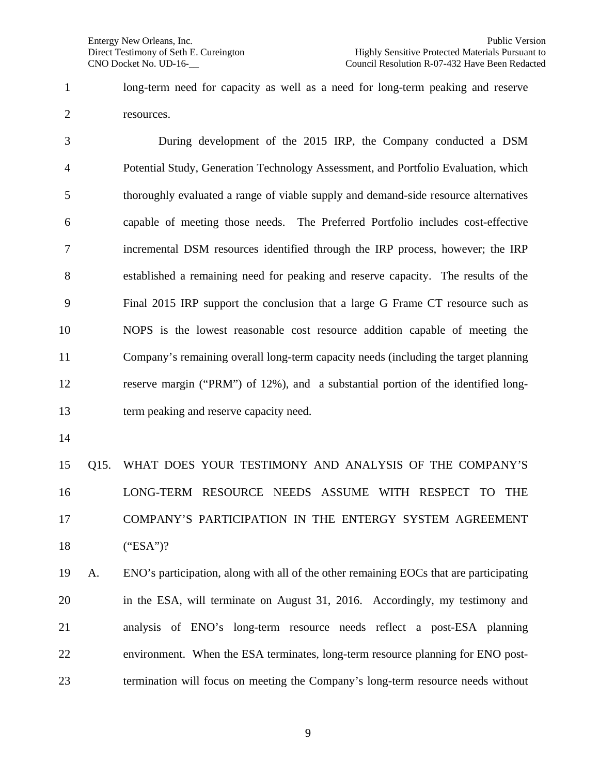long-term need for capacity as well as a need for long-term peaking and reserve resources.

3 During development of the 2015 IRP, the Company conducted a DSM Potential Study, Generation Technology Assessment, and Portfolio Evaluation, which thoroughly evaluated a range of viable supply and demand-side resource alternatives capable of meeting those needs. The Preferred Portfolio includes cost-effective incremental DSM resources identified through the IRP process, however; the IRP established a remaining need for peaking and reserve capacity. The results of the Final 2015 IRP support the conclusion that a large G Frame CT resource such as NOPS is the lowest reasonable cost resource addition capable of meeting the Company's remaining overall long-term capacity needs (including the target planning reserve margin ("PRM") of 12%), and a substantial portion of the identified long-term peaking and reserve capacity need.

 Q15. WHAT DOES YOUR TESTIMONY AND ANALYSIS OF THE COMPANY'S LONG-TERM RESOURCE NEEDS ASSUME WITH RESPECT TO THE COMPANY'S PARTICIPATION IN THE ENTERGY SYSTEM AGREEMENT ("ESA")?

 A. ENO's participation, along with all of the other remaining EOCs that are participating in the ESA, will terminate on August 31, 2016. Accordingly, my testimony and analysis of ENO's long-term resource needs reflect a post-ESA planning environment. When the ESA terminates, long-term resource planning for ENO post-termination will focus on meeting the Company's long-term resource needs without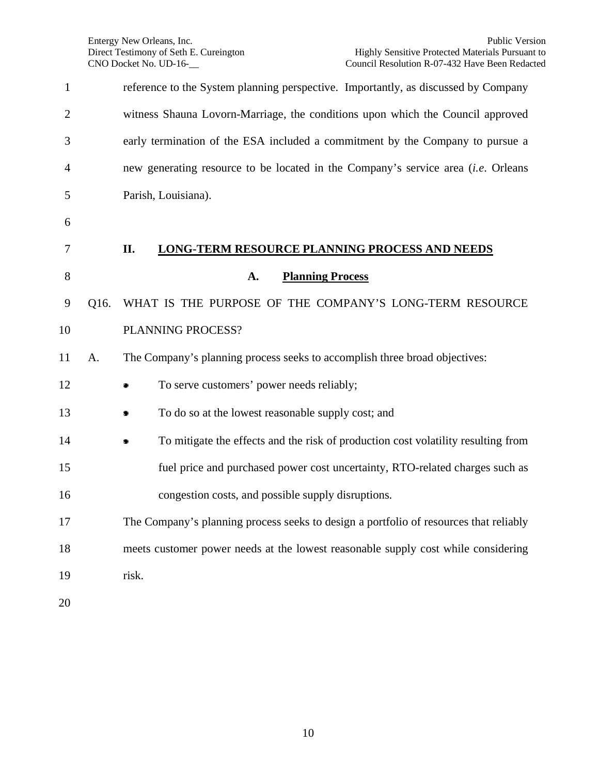| $\mathbf{1}$   |      | reference to the System planning perspective. Importantly, as discussed by Company       |
|----------------|------|------------------------------------------------------------------------------------------|
| $\overline{2}$ |      | witness Shauna Lovorn-Marriage, the conditions upon which the Council approved           |
| 3              |      | early termination of the ESA included a commitment by the Company to pursue a            |
| 4              |      | new generating resource to be located in the Company's service area <i>(i.e.</i> Orleans |
| 5              |      | Parish, Louisiana).                                                                      |
| 6              |      |                                                                                          |
| 7              |      | II.<br><b>LONG-TERM RESOURCE PLANNING PROCESS AND NEEDS</b>                              |
| 8              |      | <b>Planning Process</b><br>A.                                                            |
| 9              | Q16. | WHAT IS THE PURPOSE OF THE COMPANY'S LONG-TERM RESOURCE                                  |
| 10             |      | PLANNING PROCESS?                                                                        |
| 11             | A.   | The Company's planning process seeks to accomplish three broad objectives:               |
| 12             |      | To serve customers' power needs reliably;                                                |
| 13             |      | To do so at the lowest reasonable supply cost; and                                       |
| 14             |      | To mitigate the effects and the risk of production cost volatility resulting from        |
| 15             |      | fuel price and purchased power cost uncertainty, RTO-related charges such as             |
| 16             |      | congestion costs, and possible supply disruptions.                                       |
| 17             |      | The Company's planning process seeks to design a portfolio of resources that reliably    |
| 18             |      | meets customer power needs at the lowest reasonable supply cost while considering        |
| 19             |      | risk.                                                                                    |
| 20             |      |                                                                                          |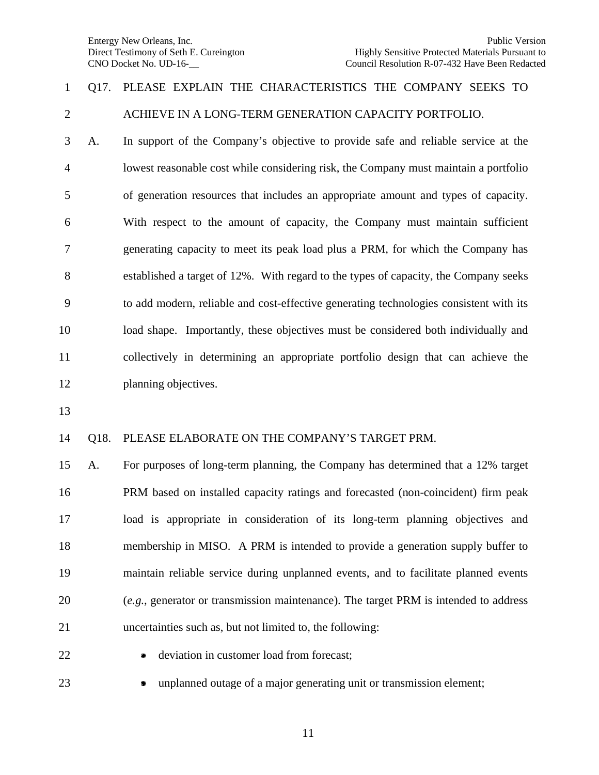### Q17. PLEASE EXPLAIN THE CHARACTERISTICS THE COMPANY SEEKS TO ACHIEVE IN A LONG-TERM GENERATION CAPACITY PORTFOLIO.

 A. In support of the Company's objective to provide safe and reliable service at the lowest reasonable cost while considering risk, the Company must maintain a portfolio of generation resources that includes an appropriate amount and types of capacity. With respect to the amount of capacity, the Company must maintain sufficient generating capacity to meet its peak load plus a PRM, for which the Company has established a target of 12%. With regard to the types of capacity, the Company seeks to add modern, reliable and cost-effective generating technologies consistent with its load shape. Importantly, these objectives must be considered both individually and collectively in determining an appropriate portfolio design that can achieve the 12 planning objectives.

#### Q18. PLEASE ELABORATE ON THE COMPANY'S TARGET PRM.

 A. For purposes of long-term planning, the Company has determined that a 12% target PRM based on installed capacity ratings and forecasted (non-coincident) firm peak load is appropriate in consideration of its long-term planning objectives and membership in MISO. A PRM is intended to provide a generation supply buffer to maintain reliable service during unplanned events, and to facilitate planned events (*e.g*., generator or transmission maintenance). The target PRM is intended to address uncertainties such as, but not limited to, the following:

- 
- **a** deviation in customer load from forecast;
- 
- unplanned outage of a major generating unit or transmission element;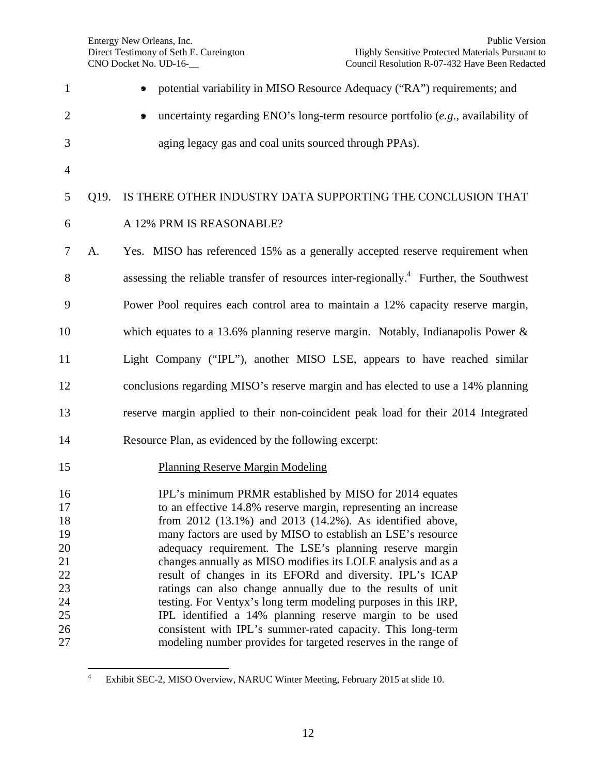| $\mathbf{1}$               |      | potential variability in MISO Resource Adequacy ("RA") requirements; and                                                      |
|----------------------------|------|-------------------------------------------------------------------------------------------------------------------------------|
| $\overline{2}$             |      | uncertainty regarding ENO's long-term resource portfolio $(e.g.,$ availability of                                             |
| 3                          |      | aging legacy gas and coal units sourced through PPAs).                                                                        |
| $\overline{4}$             |      |                                                                                                                               |
| 5                          | Q19. | IS THERE OTHER INDUSTRY DATA SUPPORTING THE CONCLUSION THAT                                                                   |
| 6                          |      | A 12% PRM IS REASONABLE?                                                                                                      |
| 7                          | A.   | Yes. MISO has referenced 15% as a generally accepted reserve requirement when                                                 |
| 8                          |      | assessing the reliable transfer of resources inter-regionally. <sup>4</sup> Further, the Southwest                            |
| 9                          |      | Power Pool requires each control area to maintain a 12% capacity reserve margin,                                              |
| 10                         |      | which equates to a 13.6% planning reserve margin. Notably, Indianapolis Power $\&$                                            |
| 11                         |      | Light Company ("IPL"), another MISO LSE, appears to have reached similar                                                      |
| 12                         |      | conclusions regarding MISO's reserve margin and has elected to use a 14% planning                                             |
| 13                         |      | reserve margin applied to their non-coincident peak load for their 2014 Integrated                                            |
| 14                         |      | Resource Plan, as evidenced by the following excerpt:                                                                         |
| 15                         |      | <b>Planning Reserve Margin Modeling</b>                                                                                       |
| 16                         |      | IPL's minimum PRMR established by MISO for 2014 equates                                                                       |
| 17                         |      | to an effective 14.8% reserve margin, representing an increase                                                                |
| 18                         |      | from 2012 (13.1%) and 2013 (14.2%). As identified above,                                                                      |
| 19                         |      | many factors are used by MISO to establish an LSE's resource                                                                  |
| 20                         |      | adequacy requirement. The LSE's planning reserve margin                                                                       |
|                            |      | changes annually as MISO modifies its LOLE analysis and as a                                                                  |
|                            |      | result of changes in its EFORd and diversity. IPL's ICAP                                                                      |
| 21<br>22<br>23<br>24<br>25 |      | ratings can also change annually due to the results of unit<br>testing. For Ventyx's long term modeling purposes in this IRP, |
|                            |      | IPL identified a 14% planning reserve margin to be used                                                                       |
| 26                         |      | consistent with IPL's summer-rated capacity. This long-term                                                                   |
| 27                         |      | modeling number provides for targeted reserves in the range of                                                                |

 Exhibit SEC-2, MISO Overview, NARUC Winter Meeting, February 2015 at slide 10.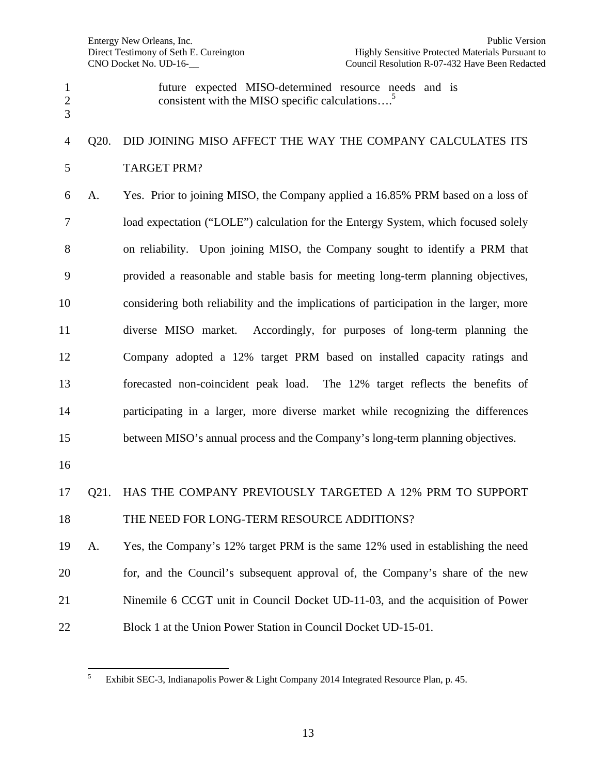future expected MISO-determined resource needs and is consistent with the MISO specific calculations.... $^5$ 

### Q20. DID JOINING MISO AFFECT THE WAY THE COMPANY CALCULATES ITS TARGET PRM?

 A. Yes. Prior to joining MISO, the Company applied a 16.85% PRM based on a loss of load expectation ("LOLE") calculation for the Entergy System, which focused solely on reliability. Upon joining MISO, the Company sought to identify a PRM that provided a reasonable and stable basis for meeting long-term planning objectives, considering both reliability and the implications of participation in the larger, more diverse MISO market. Accordingly, for purposes of long-term planning the Company adopted a 12% target PRM based on installed capacity ratings and forecasted non-coincident peak load. The 12% target reflects the benefits of participating in a larger, more diverse market while recognizing the differences between MISO's annual process and the Company's long-term planning objectives.

## Q21. HAS THE COMPANY PREVIOUSLY TARGETED A 12% PRM TO SUPPORT 18 THE NEED FOR LONG-TERM RESOURCE ADDITIONS?

 A. Yes, the Company's 12% target PRM is the same 12% used in establishing the need for, and the Council's subsequent approval of, the Company's share of the new Ninemile 6 CCGT unit in Council Docket UD-11-03, and the acquisition of Power Block 1 at the Union Power Station in Council Docket UD-15-01.

 Exhibit SEC-3, Indianapolis Power & Light Company 2014 Integrated Resource Plan, p. 45.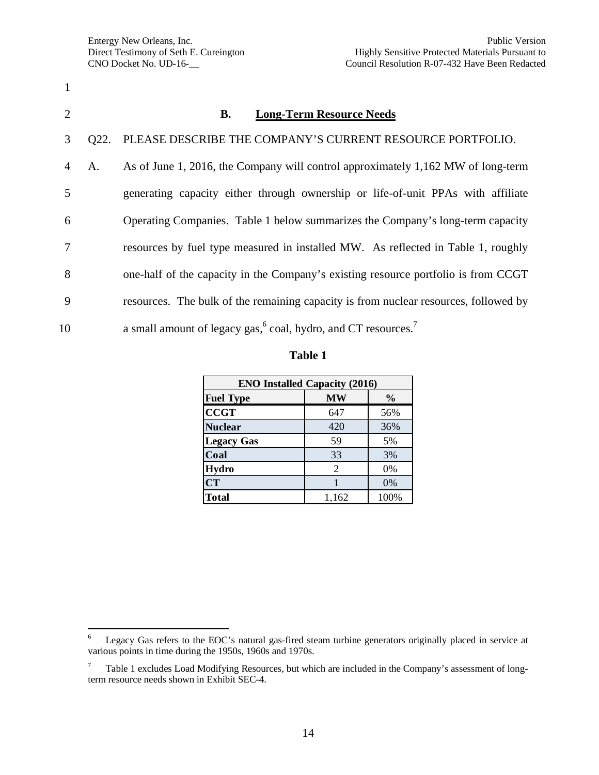| $\overline{2}$ |      | <b>Long-Term Resource Needs</b><br>В.                                                  |
|----------------|------|----------------------------------------------------------------------------------------|
| 3              | Q22. | PLEASE DESCRIBE THE COMPANY'S CURRENT RESOURCE PORTFOLIO.                              |
| $\overline{4}$ | A.   | As of June 1, 2016, the Company will control approximately 1,162 MW of long-term       |
| 5              |      | generating capacity either through ownership or life-of-unit PPAs with affiliate       |
| 6              |      | Operating Companies. Table 1 below summarizes the Company's long-term capacity         |
| 7              |      | resources by fuel type measured in installed MW. As reflected in Table 1, roughly      |
| 8              |      | one-half of the capacity in the Company's existing resource portfolio is from CCGT     |
| 9              |      | resources. The bulk of the remaining capacity is from nuclear resources, followed by   |
| 10             |      | a small amount of legacy gas, <sup>6</sup> coal, hydro, and CT resources. <sup>7</sup> |

| г і | m<br>Ш |  |
|-----|--------|--|
|-----|--------|--|

| <b>ENO Installed Capacity (2016)</b> |           |               |
|--------------------------------------|-----------|---------------|
| <b>Fuel Type</b>                     | <b>MW</b> | $\frac{6}{9}$ |
| <b>CCGT</b>                          | 647       | 56%           |
| <b>Nuclear</b>                       | 420       | 36%           |
| <b>Legacy Gas</b>                    | 59        | 5%            |
| Coal                                 | 33        | 3%            |
| <b>Hydro</b>                         | 2         | 0%            |
| <b>CT</b>                            |           | 0%            |
| <b>Total</b>                         | 1,162     | 100%          |

<sup>6</sup> Legacy Gas refers to the EOC's natural gas-fired steam turbine generators originally placed in service at various points in time during the 1950s, 1960s and 1970s.

<sup>7</sup> Table 1 excludes Load Modifying Resources, but which are included in the Company's assessment of longterm resource needs shown in Exhibit SEC-4.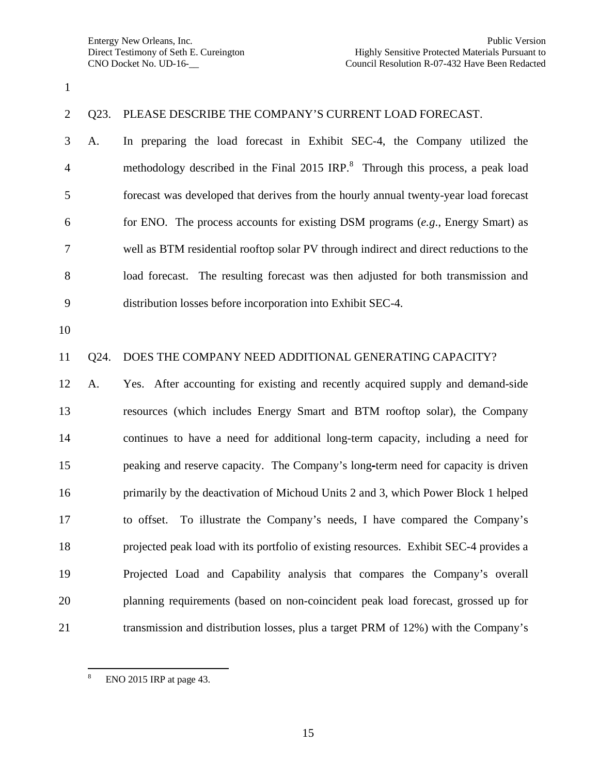#### Q23. PLEASE DESCRIBE THE COMPANY'S CURRENT LOAD FORECAST.

 A. In preparing the load forecast in Exhibit SEC-4, the Company utilized the 4 methodology described in the Final 2015 IRP.<sup>8</sup> Through this process, a peak load forecast was developed that derives from the hourly annual twenty-year load forecast for ENO. The process accounts for existing DSM programs (*e.g*., Energy Smart) as well as BTM residential rooftop solar PV through indirect and direct reductions to the load forecast. The resulting forecast was then adjusted for both transmission and distribution losses before incorporation into Exhibit SEC-4.

#### Q24. DOES THE COMPANY NEED ADDITIONAL GENERATING CAPACITY?

 A. Yes. After accounting for existing and recently acquired supply and demand-side resources (which includes Energy Smart and BTM rooftop solar), the Company continues to have a need for additional long-term capacity, including a need for peaking and reserve capacity. The Company's long term need for capacity is driven primarily by the deactivation of Michoud Units 2 and 3, which Power Block 1 helped to offset. To illustrate the Company's needs, I have compared the Company's projected peak load with its portfolio of existing resources. Exhibit SEC-4 provides a Projected Load and Capability analysis that compares the Company's overall planning requirements (based on non-coincident peak load forecast, grossed up for transmission and distribution losses, plus a target PRM of 12%) with the Company's

 ENO 2015 IRP at page 43.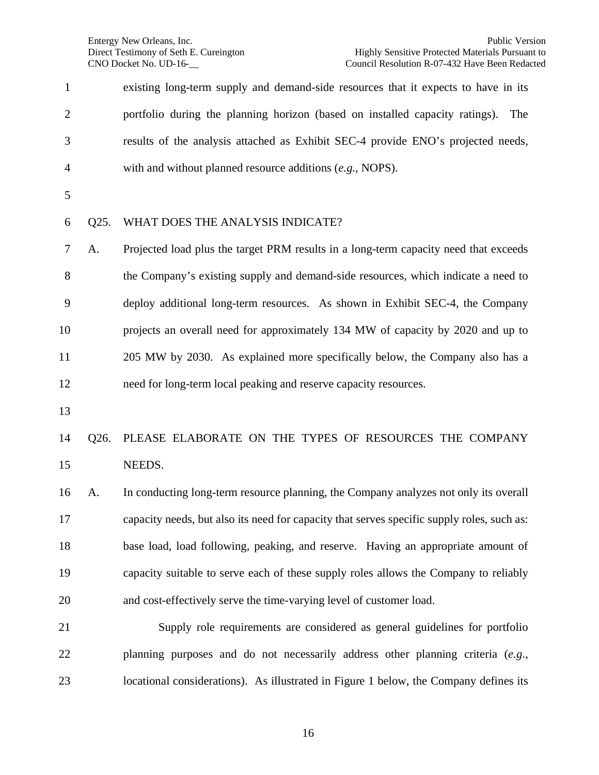| $\mathbf{1}$   |      | existing long-term supply and demand-side resources that it expects to have in its         |
|----------------|------|--------------------------------------------------------------------------------------------|
| $\overline{2}$ |      | portfolio during the planning horizon (based on installed capacity ratings).<br>The        |
| 3              |      | results of the analysis attached as Exhibit SEC-4 provide ENO's projected needs,           |
| 4              |      | with and without planned resource additions $(e.g., \text{NOPS}).$                         |
| 5              |      |                                                                                            |
| 6              | Q25. | WHAT DOES THE ANALYSIS INDICATE?                                                           |
| $\tau$         | A.   | Projected load plus the target PRM results in a long-term capacity need that exceeds       |
| $8\,$          |      | the Company's existing supply and demand-side resources, which indicate a need to          |
| 9              |      | deploy additional long-term resources. As shown in Exhibit SEC-4, the Company              |
| 10             |      | projects an overall need for approximately 134 MW of capacity by 2020 and up to            |
| 11             |      | 205 MW by 2030. As explained more specifically below, the Company also has a               |
| 12             |      | need for long-term local peaking and reserve capacity resources.                           |
| 13             |      |                                                                                            |
| 14             | Q26. | PLEASE ELABORATE ON THE TYPES OF RESOURCES THE COMPANY                                     |
| 15             |      | NEEDS.                                                                                     |
| 16             | A.   | In conducting long-term resource planning, the Company analyzes not only its overall       |
| 17             |      | capacity needs, but also its need for capacity that serves specific supply roles, such as: |
| 18             |      | base load, load following, peaking, and reserve. Having an appropriate amount of           |
| 19             |      | capacity suitable to serve each of these supply roles allows the Company to reliably       |
| 20             |      | and cost-effectively serve the time-varying level of customer load.                        |
| 21             |      | Supply role requirements are considered as general guidelines for portfolio                |
| 22             |      | planning purposes and do not necessarily address other planning criteria (e.g.,            |
| 23             |      | locational considerations). As illustrated in Figure 1 below, the Company defines its      |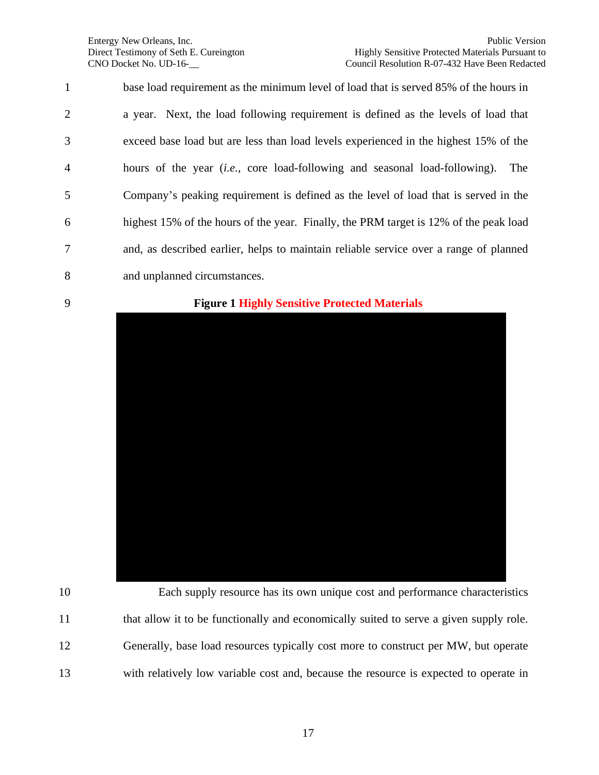| $\mathbf{1}$   | base load requirement as the minimum level of load that is served 85% of the hours in     |
|----------------|-------------------------------------------------------------------------------------------|
| $\overline{2}$ | a year. Next, the load following requirement is defined as the levels of load that        |
| 3              | exceed base load but are less than load levels experienced in the highest 15% of the      |
| $\overline{4}$ | hours of the year <i>(i.e., core load-following and seasonal load-following)</i> .<br>The |
| 5              | Company's peaking requirement is defined as the level of load that is served in the       |
| 6              | highest 15% of the hours of the year. Finally, the PRM target is 12% of the peak load     |
| $\overline{7}$ | and, as described earlier, helps to maintain reliable service over a range of planned     |
| 8              | and unplanned circumstances.                                                              |

#### **Figure 1 Highly Sensitive Protected Materials**



 Each supply resource has its own unique cost and performance characteristics 11 that allow it to be functionally and economically suited to serve a given supply role. Generally, base load resources typically cost more to construct per MW, but operate with relatively low variable cost and, because the resource is expected to operate in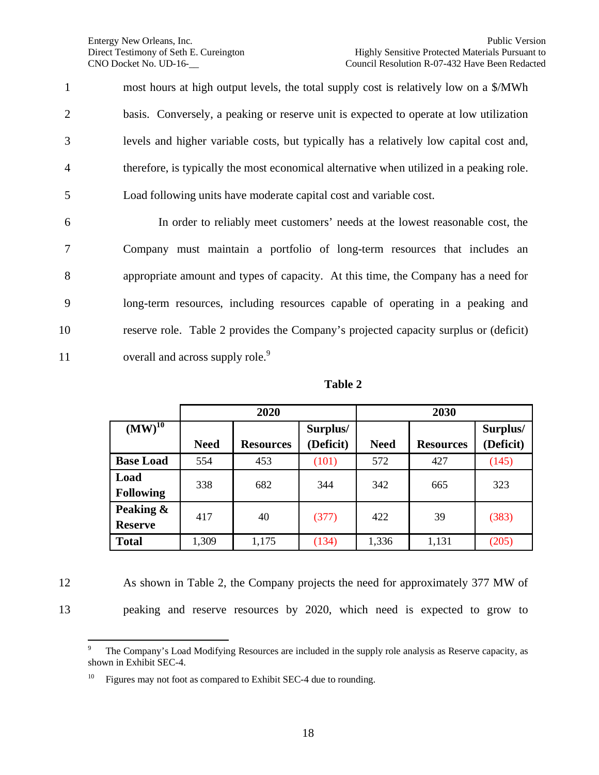most hours at high output levels, the total supply cost is relatively low on a \$/MWh basis. Conversely, a peaking or reserve unit is expected to operate at low utilization levels and higher variable costs, but typically has a relatively low capital cost and, therefore, is typically the most economical alternative when utilized in a peaking role. Load following units have moderate capital cost and variable cost.

 In order to reliably meet customers' needs at the lowest reasonable cost, the Company must maintain a portfolio of long-term resources that includes an appropriate amount and types of capacity. At this time, the Company has a need for long-term resources, including resources capable of operating in a peaking and reserve role. Table 2 provides the Company's projected capacity surplus or (deficit) overall and across supply role.<sup>9</sup> 11

**Table 2**

|                             |             | 2020             |                       |             | 2030             |                       |
|-----------------------------|-------------|------------------|-----------------------|-------------|------------------|-----------------------|
| $(MW)^{10}$                 | <b>Need</b> | <b>Resources</b> | Surplus/<br>(Deficit) | <b>Need</b> | <b>Resources</b> | Surplus/<br>(Deficit) |
| <b>Base Load</b>            | 554         | 453              | (101)                 | 572         | 427              | (145)                 |
| Load<br><b>Following</b>    | 338         | 682              | 344                   | 342         | 665              | 323                   |
| Peaking &<br><b>Reserve</b> | 417         | 40               | (377)                 | 422         | 39               | (383)                 |
| <b>Total</b>                | 1,309       | 1,175            | (134)                 | 1,336       | 1,131            | (205)                 |

12 As shown in Table 2, the Company projects the need for approximately 377 MW of 13 peaking and reserve resources by 2020, which need is expected to grow to

<sup>9</sup> The Company's Load Modifying Resources are included in the supply role analysis as Reserve capacity, as shown in Exhibit SEC-4.

Figures may not foot as compared to Exhibit SEC-4 due to rounding.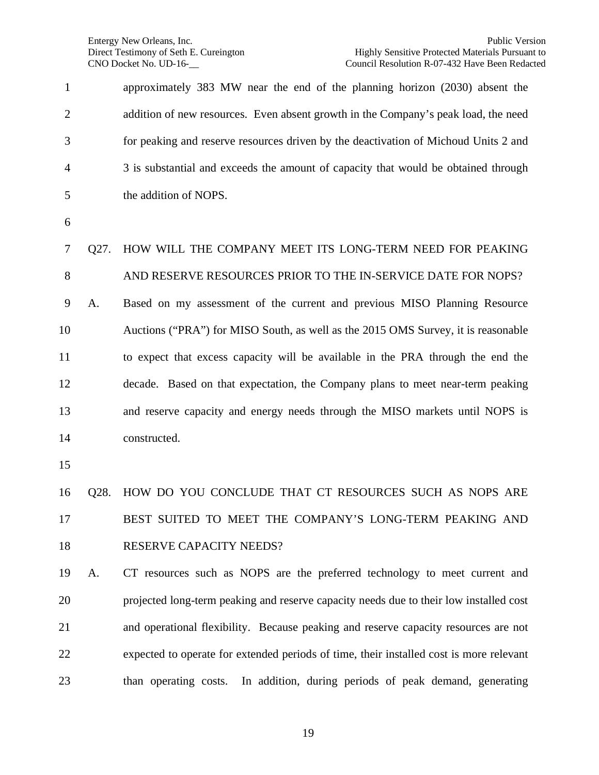| $\mathbf{1}$   |                   | approximately 383 MW near the end of the planning horizon (2030) absent the             |
|----------------|-------------------|-----------------------------------------------------------------------------------------|
| $\overline{2}$ |                   | addition of new resources. Even absent growth in the Company's peak load, the need      |
| 3              |                   | for peaking and reserve resources driven by the deactivation of Michoud Units 2 and     |
| $\overline{4}$ |                   | 3 is substantial and exceeds the amount of capacity that would be obtained through      |
| 5              |                   | the addition of NOPS.                                                                   |
| 6              |                   |                                                                                         |
| 7              | Q27.              | HOW WILL THE COMPANY MEET ITS LONG-TERM NEED FOR PEAKING                                |
| 8              |                   | AND RESERVE RESOURCES PRIOR TO THE IN-SERVICE DATE FOR NOPS?                            |
| 9              | A.                | Based on my assessment of the current and previous MISO Planning Resource               |
| 10             |                   | Auctions ("PRA") for MISO South, as well as the 2015 OMS Survey, it is reasonable       |
| 11             |                   | to expect that excess capacity will be available in the PRA through the end the         |
| 12             |                   | decade. Based on that expectation, the Company plans to meet near-term peaking          |
| 13             |                   | and reserve capacity and energy needs through the MISO markets until NOPS is            |
| 14             |                   | constructed.                                                                            |
| 15             |                   |                                                                                         |
| 16             | O <sub>28</sub> . | HOW DO YOU CONCLUDE THAT CT RESOURCES SUCH AS NOPS ARE                                  |
| 17             |                   | BEST SUITED TO MEET THE COMPANY'S LONG-TERM PEAKING AND                                 |
| 18             |                   | RESERVE CAPACITY NEEDS?                                                                 |
| 19             | A.                | CT resources such as NOPS are the preferred technology to meet current and              |
| 20             |                   | projected long-term peaking and reserve capacity needs due to their low installed cost  |
| 21             |                   | and operational flexibility. Because peaking and reserve capacity resources are not     |
| 22             |                   | expected to operate for extended periods of time, their installed cost is more relevant |
| 23             |                   | than operating costs. In addition, during periods of peak demand, generating            |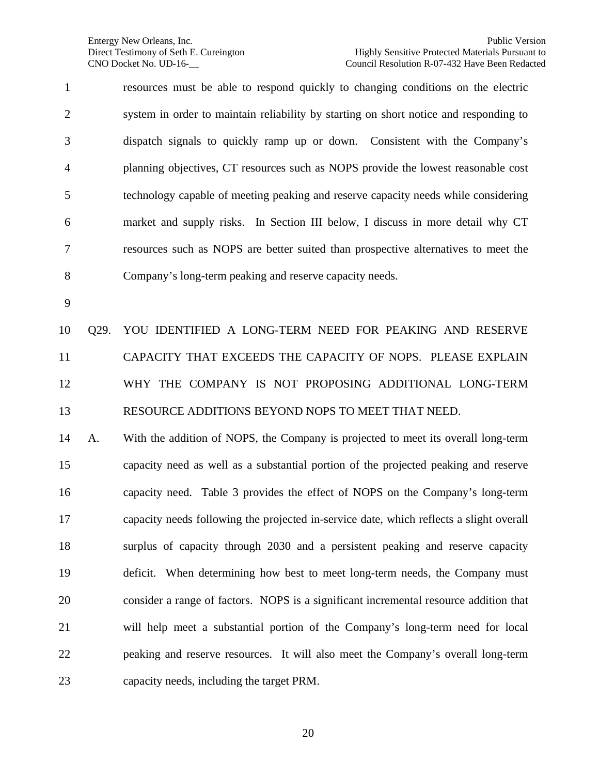resources must be able to respond quickly to changing conditions on the electric system in order to maintain reliability by starting on short notice and responding to dispatch signals to quickly ramp up or down. Consistent with the Company's planning objectives, CT resources such as NOPS provide the lowest reasonable cost technology capable of meeting peaking and reserve capacity needs while considering market and supply risks. In Section III below, I discuss in more detail why CT resources such as NOPS are better suited than prospective alternatives to meet the Company's long-term peaking and reserve capacity needs.

 Q29. YOU IDENTIFIED A LONG-TERM NEED FOR PEAKING AND RESERVE CAPACITY THAT EXCEEDS THE CAPACITY OF NOPS. PLEASE EXPLAIN WHY THE COMPANY IS NOT PROPOSING ADDITIONAL LONG-TERM RESOURCE ADDITIONS BEYOND NOPS TO MEET THAT NEED.

 A. With the addition of NOPS, the Company is projected to meet its overall long-term capacity need as well as a substantial portion of the projected peaking and reserve capacity need. Table 3 provides the effect of NOPS on the Company's long-term capacity needs following the projected in-service date, which reflects a slight overall surplus of capacity through 2030 and a persistent peaking and reserve capacity deficit. When determining how best to meet long-term needs, the Company must consider a range of factors. NOPS is a significant incremental resource addition that will help meet a substantial portion of the Company's long-term need for local peaking and reserve resources. It will also meet the Company's overall long-term capacity needs, including the target PRM.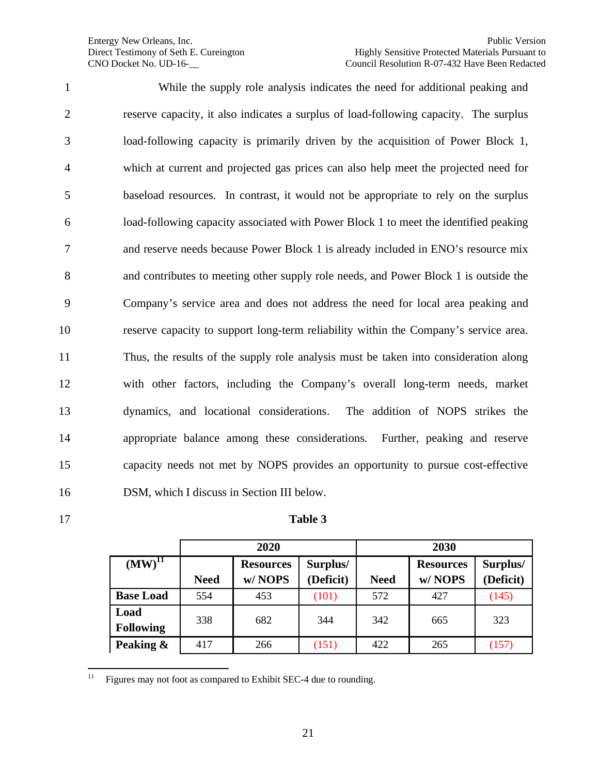1 While the supply role analysis indicates the need for additional peaking and reserve capacity, it also indicates a surplus of load-following capacity. The surplus load-following capacity is primarily driven by the acquisition of Power Block 1, which at current and projected gas prices can also help meet the projected need for baseload resources. In contrast, it would not be appropriate to rely on the surplus load-following capacity associated with Power Block 1 to meet the identified peaking and reserve needs because Power Block 1 is already included in ENO's resource mix and contributes to meeting other supply role needs, and Power Block 1 is outside the Company's service area and does not address the need for local area peaking and reserve capacity to support long-term reliability within the Company's service area. Thus, the results of the supply role analysis must be taken into consideration along with other factors, including the Company's overall long-term needs, market dynamics, and locational considerations. The addition of NOPS strikes the appropriate balance among these considerations. Further, peaking and reserve capacity needs not met by NOPS provides an opportunity to pursue cost-effective DSM, which I discuss in Section III below.

#### 17 **Table 3**

|                          |             | 2020                       |                       |             | 2030                       |                       |
|--------------------------|-------------|----------------------------|-----------------------|-------------|----------------------------|-----------------------|
| $(MW)^{11}$              | <b>Need</b> | <b>Resources</b><br>w/NOPS | Surplus/<br>(Deficit) | <b>Need</b> | <b>Resources</b><br>w/NOPS | Surplus/<br>(Deficit) |
| <b>Base Load</b>         | 554         | 453                        | (101)                 | 572         | 427                        | (145)                 |
| Load<br><b>Following</b> | 338         | 682                        | 344                   | 342         | 665                        | 323                   |
| Peaking &                | 417         | 266                        | (151)                 | 422         | 265                        | (157)                 |

<sup>&</sup>lt;sup>11</sup> Figures may not foot as compared to Exhibit SEC-4 due to rounding.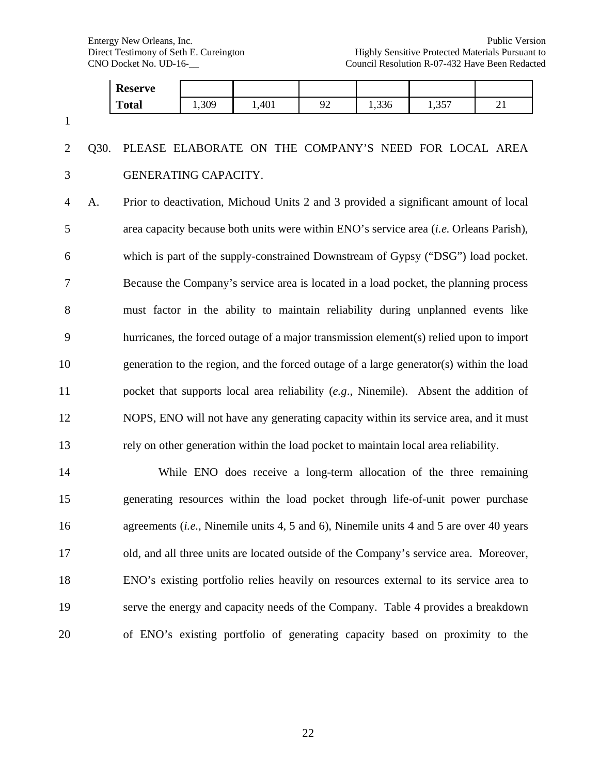|                |      | <b>Reserve</b>       |       |                                                                                                 |    |       |       |    |
|----------------|------|----------------------|-------|-------------------------------------------------------------------------------------------------|----|-------|-------|----|
|                |      | <b>Total</b>         | 1,309 | 1,401                                                                                           | 92 | 1,336 | 1,357 | 21 |
| $\mathbf{1}$   |      |                      |       |                                                                                                 |    |       |       |    |
| $\overline{2}$ | Q30. |                      |       | PLEASE ELABORATE ON THE COMPANY'S NEED FOR LOCAL AREA                                           |    |       |       |    |
| 3              |      | GENERATING CAPACITY. |       |                                                                                                 |    |       |       |    |
| $\overline{4}$ | A.   |                      |       | Prior to deactivation, Michoud Units 2 and 3 provided a significant amount of local             |    |       |       |    |
| 5              |      |                      |       | area capacity because both units were within ENO's service area (i.e. Orleans Parish),          |    |       |       |    |
| 6              |      |                      |       | which is part of the supply-constrained Downstream of Gypsy ("DSG") load pocket.                |    |       |       |    |
| $\tau$         |      |                      |       | Because the Company's service area is located in a load pocket, the planning process            |    |       |       |    |
| 8              |      |                      |       | must factor in the ability to maintain reliability during unplanned events like                 |    |       |       |    |
| 9              |      |                      |       | hurricanes, the forced outage of a major transmission element(s) relied upon to import          |    |       |       |    |
| 10             |      |                      |       | generation to the region, and the forced outage of a large generator(s) within the load         |    |       |       |    |
| 11             |      |                      |       | pocket that supports local area reliability (e.g., Ninemile). Absent the addition of            |    |       |       |    |
| 12             |      |                      |       | NOPS, ENO will not have any generating capacity within its service area, and it must            |    |       |       |    |
| 13             |      |                      |       | rely on other generation within the load pocket to maintain local area reliability.             |    |       |       |    |
| 14             |      |                      |       | While ENO does receive a long-term allocation of the three remaining                            |    |       |       |    |
| 15             |      |                      |       | generating resources within the load pocket through life-of-unit power purchase                 |    |       |       |    |
| 16             |      |                      |       | agreements ( <i>i.e.</i> , Ninemile units 4, 5 and 6), Ninemile units 4 and 5 are over 40 years |    |       |       |    |

 agreements (*i.e*., Ninemile units 4, 5 and 6), Ninemile units 4 and 5 are over 40 years old, and all three units are located outside of the Company's service area. Moreover, ENO's existing portfolio relies heavily on resources external to its service area to serve the energy and capacity needs of the Company. Table 4 provides a breakdown of ENO's existing portfolio of generating capacity based on proximity to the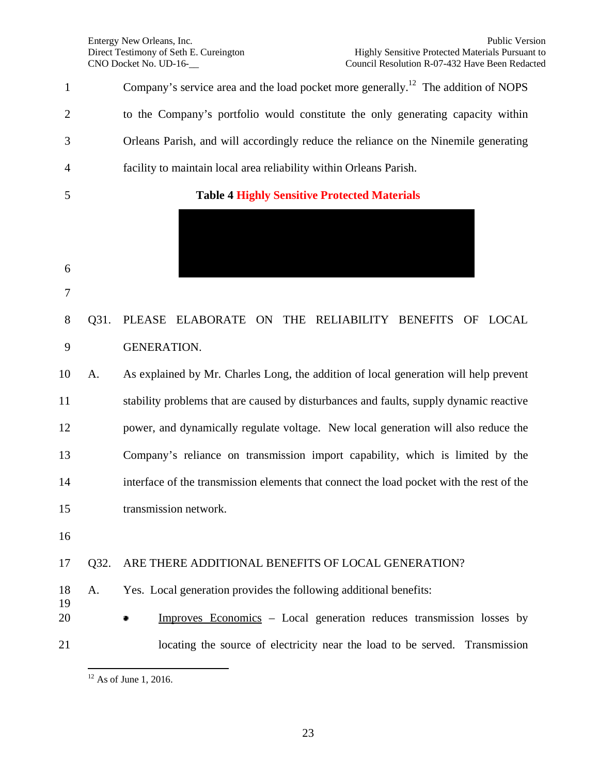1 Company's service area and the load pocket more generally.<sup>12</sup> The addition of NOPS to the Company's portfolio would constitute the only generating capacity within Orleans Parish, and will accordingly reduce the reliance on the Ninemile generating facility to maintain local area reliability within Orleans Parish. **Table 4 Highly Sensitive Protected Materials** Q31. PLEASE ELABORATE ON THE RELIABILITY BENEFITS OF LOCAL GENERATION. A. As explained by Mr. Charles Long, the addition of local generation will help prevent stability problems that are caused by disturbances and faults, supply dynamic reactive power, and dynamically regulate voltage. New local generation will also reduce the Company's reliance on transmission import capability, which is limited by the interface of the transmission elements that connect the load pocket with the rest of the transmission network. Q32. ARE THERE ADDITIONAL BENEFITS OF LOCAL GENERATION? A. Yes. Local generation provides the following additional benefits: **Improves Economics** – Local generation reduces transmission losses by locating the source of electricity near the load to be served. Transmission

As of June 1, 2016.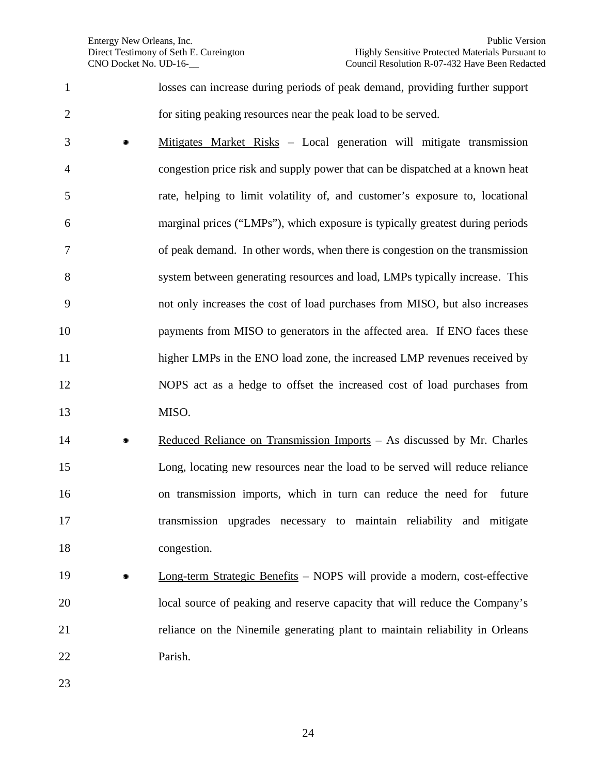losses can increase during periods of peak demand, providing further support for siting peaking resources near the peak load to be served.

- Mitigates Market Risks Local generation will mitigate transmission congestion price risk and supply power that can be dispatched at a known heat rate, helping to limit volatility of, and customer's exposure to, locational marginal prices ("LMPs"), which exposure is typically greatest during periods of peak demand. In other words, when there is congestion on the transmission system between generating resources and load, LMPs typically increase. This not only increases the cost of load purchases from MISO, but also increases 10 payments from MISO to generators in the affected area. If ENO faces these 11 higher LMPs in the ENO load zone, the increased LMP revenues received by NOPS act as a hedge to offset the increased cost of load purchases from MISO.
- 14 Reduced Reliance on Transmission Imports As discussed by Mr. Charles Long, locating new resources near the load to be served will reduce reliance on transmission imports, which in turn can reduce the need for future transmission upgrades necessary to maintain reliability and mitigate congestion.
- **Long-term Strategic Benefits** NOPS will provide a modern, cost-effective local source of peaking and reserve capacity that will reduce the Company's reliance on the Ninemile generating plant to maintain reliability in Orleans Parish.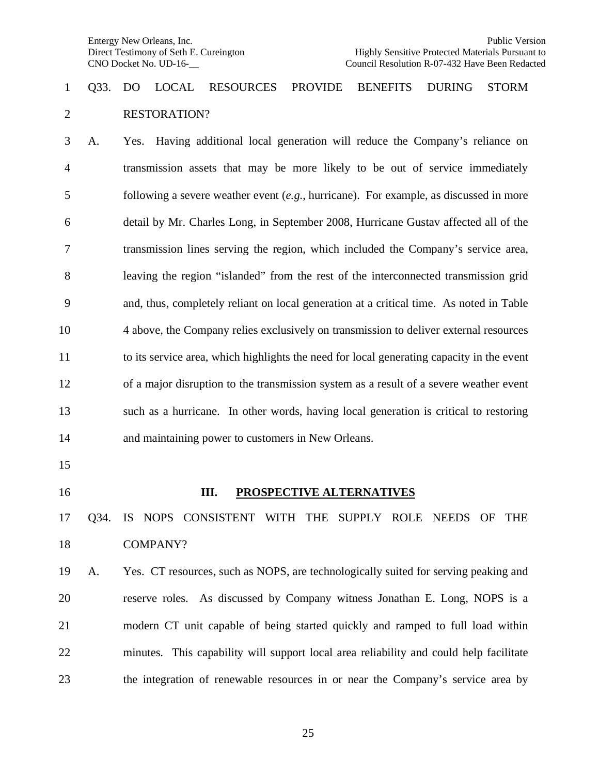### Q33. DO LOCAL RESOURCES PROVIDE BENEFITS DURING STORM RESTORATION?

 A. Yes. Having additional local generation will reduce the Company's reliance on transmission assets that may be more likely to be out of service immediately following a severe weather event (*e.g*., hurricane). For example, as discussed in more detail by Mr. Charles Long, in September 2008, Hurricane Gustav affected all of the transmission lines serving the region, which included the Company's service area, leaving the region "islanded" from the rest of the interconnected transmission grid and, thus, completely reliant on local generation at a critical time. As noted in Table 4 above, the Company relies exclusively on transmission to deliver external resources to its service area, which highlights the need for local generating capacity in the event of a major disruption to the transmission system as a result of a severe weather event such as a hurricane. In other words, having local generation is critical to restoring and maintaining power to customers in New Orleans.

- 
- 

#### **III. PROSPECTIVE ALTERNATIVES**

### Q34. IS NOPS CONSISTENT WITH THE SUPPLY ROLE NEEDS OF THE COMPANY?

 A. Yes. CT resources, such as NOPS, are technologically suited for serving peaking and reserve roles. As discussed by Company witness Jonathan E. Long, NOPS is a modern CT unit capable of being started quickly and ramped to full load within minutes. This capability will support local area reliability and could help facilitate the integration of renewable resources in or near the Company's service area by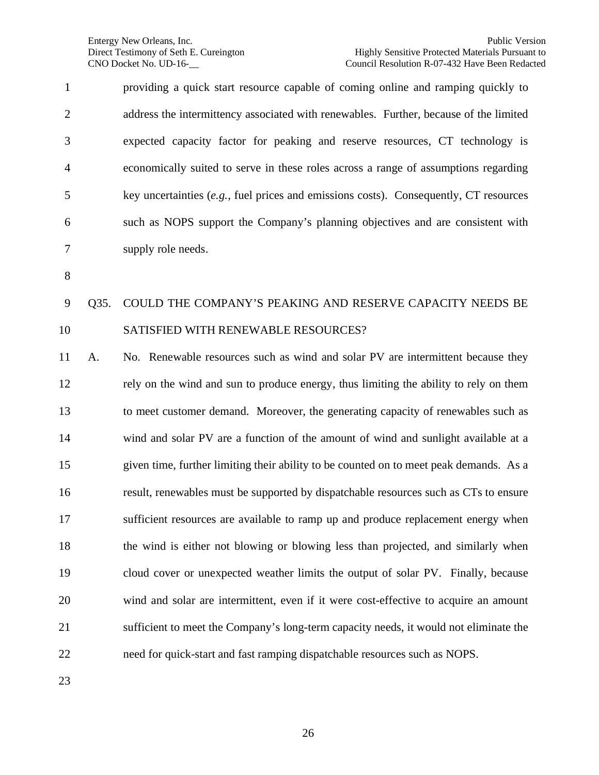| $\mathbf{1}$   | providing a quick start resource capable of coming online and ramping quickly to        |
|----------------|-----------------------------------------------------------------------------------------|
| $\overline{2}$ | address the intermittency associated with renewables. Further, because of the limited   |
| 3              | expected capacity factor for peaking and reserve resources, CT technology is            |
| $\overline{4}$ | economically suited to serve in these roles across a range of assumptions regarding     |
| 5              | key uncertainties $(e.g.,$ fuel prices and emissions costs). Consequently, CT resources |
| 6              | such as NOPS support the Company's planning objectives and are consistent with          |
| 7              | supply role needs.                                                                      |

### Q35. COULD THE COMPANY'S PEAKING AND RESERVE CAPACITY NEEDS BE SATISFIED WITH RENEWABLE RESOURCES?

 A. No. Renewable resources such as wind and solar PV are intermittent because they rely on the wind and sun to produce energy, thus limiting the ability to rely on them to meet customer demand. Moreover, the generating capacity of renewables such as wind and solar PV are a function of the amount of wind and sunlight available at a given time, further limiting their ability to be counted on to meet peak demands. As a result, renewables must be supported by dispatchable resources such as CTs to ensure sufficient resources are available to ramp up and produce replacement energy when the wind is either not blowing or blowing less than projected, and similarly when cloud cover or unexpected weather limits the output of solar PV. Finally, because wind and solar are intermittent, even if it were cost-effective to acquire an amount sufficient to meet the Company's long-term capacity needs, it would not eliminate the need for quick-start and fast ramping dispatchable resources such as NOPS.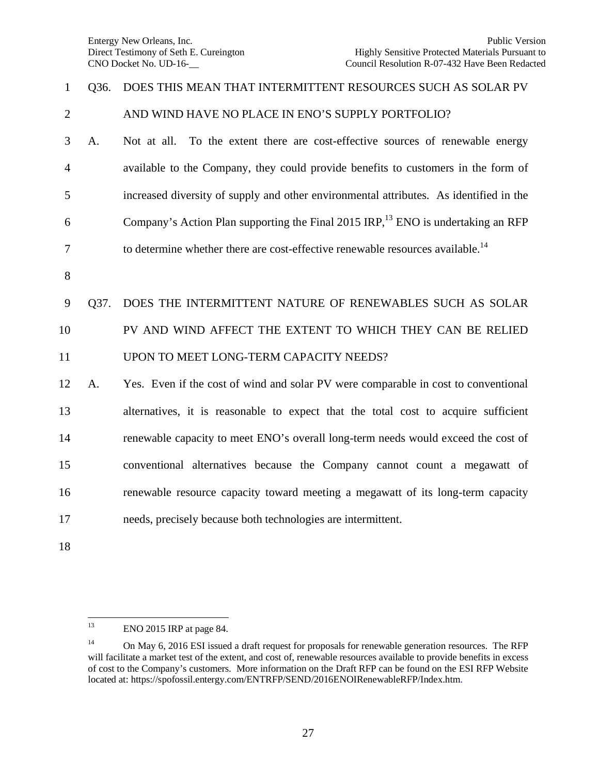# Q36. DOES THIS MEAN THAT INTERMITTENT RESOURCES SUCH AS SOLAR PV

#### 2 AND WIND HAVE NO PLACE IN ENO'S SUPPLY PORTFOLIO?

 A. Not at all. To the extent there are cost-effective sources of renewable energy available to the Company, they could provide benefits to customers in the form of increased diversity of supply and other environmental attributes. As identified in the 6 Company's Action Plan supporting the Final 2015 IRP,  $^{13}$  ENO is undertaking an RFP to determine whether there are cost-effective renewable resources available.<sup>14</sup>

#### Q37. DOES THE INTERMITTENT NATURE OF RENEWABLES SUCH AS SOLAR

# PV AND WIND AFFECT THE EXTENT TO WHICH THEY CAN BE RELIED

#### UPON TO MEET LONG-TERM CAPACITY NEEDS?

 A. Yes. Even if the cost of wind and solar PV were comparable in cost to conventional alternatives, it is reasonable to expect that the total cost to acquire sufficient renewable capacity to meet ENO's overall long-term needs would exceed the cost of conventional alternatives because the Company cannot count a megawatt of renewable resource capacity toward meeting a megawatt of its long-term capacity needs, precisely because both technologies are intermittent.

ENO 2015 IRP at page 84.

<sup>&</sup>lt;sup>14</sup> On May 6, 2016 ESI issued a draft request for proposals for renewable generation resources. The RFP will facilitate a market test of the extent, and cost of, renewable resources available to provide benefits in excess of cost to the Company's customers. More information on the Draft RFP can be found on the ESI RFP Website located at:<https://spofossil.entergy.com/ENTRFP/SEND/2016ENOIRenewableRFP/Index.htm.>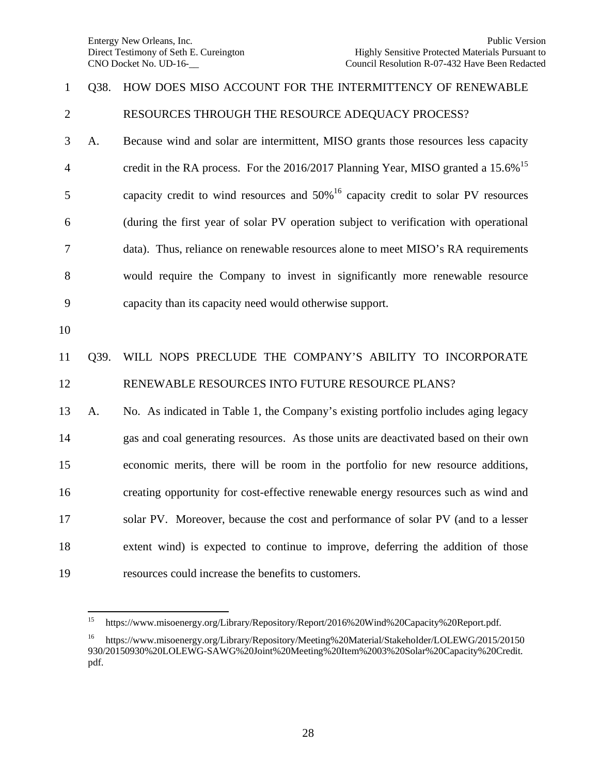# Q38. HOW DOES MISO ACCOUNT FOR THE INTERMITTENCY OF RENEWABLE

RESOURCES THROUGH THE RESOURCE ADEQUACY PROCESS?

 A. Because wind and solar are intermittent, MISO grants those resources less capacity 4 credit in the RA process. For the 2016/2017 Planning Year, MISO granted a 15.6%<sup>15</sup> 5 capacity credit to wind resources and  $50\%$ <sup>16</sup> capacity credit to solar PV resources (during the first year of solar PV operation subject to verification with operational data). Thus, reliance on renewable resources alone to meet MISO's RA requirements would require the Company to invest in significantly more renewable resource capacity than its capacity need would otherwise support.

### Q39. WILL NOPS PRECLUDE THE COMPANY'S ABILITY TO INCORPORATE RENEWABLE RESOURCES INTO FUTURE RESOURCE PLANS?

 A. No. As indicated in Table 1, the Company's existing portfolio includes aging legacy gas and coal generating resources. As those units are deactivated based on their own economic merits, there will be room in the portfolio for new resource additions, creating opportunity for cost-effective renewable energy resources such as wind and solar PV. Moreover, because the cost and performance of solar PV (and to a lesser extent wind) is expected to continue to improve, deferring the addition of those resources could increase the benefits to customers.

<https://www.misoenergy.org/Library/Repository/Report/2016%20Wind%20Capacity%20Report.pdf.>

 <https://www.misoenergy.org/Library/Repository/Meeting%20Material/Stakeholder/LOLEWG/2015/20150> 930/20150930%20LOLEWG-SAWG%20Joint%20Meeting%20Item%2003%20Solar%20Capacity%20Credit. pdf.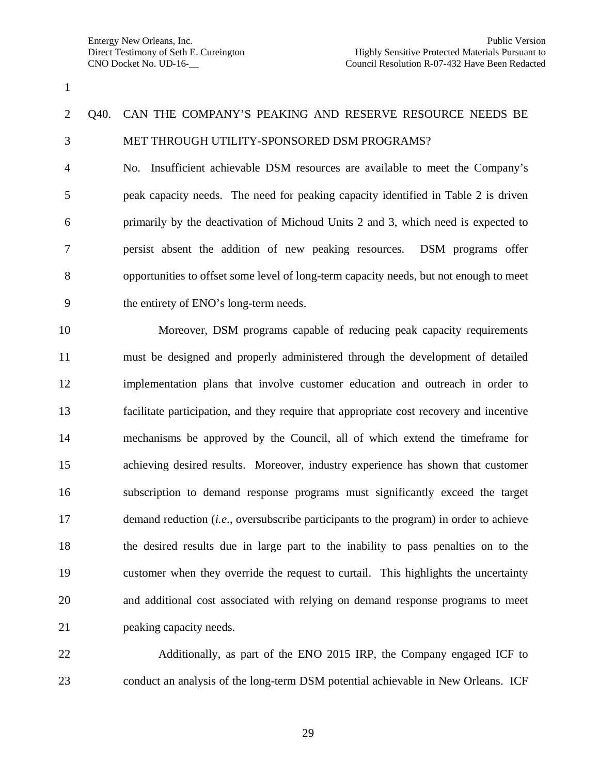## Q40. CAN THE COMPANY'S PEAKING AND RESERVE RESOURCE NEEDS BE MET THROUGH UTILITY-SPONSORED DSM PROGRAMS?

 No. Insufficient achievable DSM resources are available to meet the Company's peak capacity needs. The need for peaking capacity identified in Table 2 is driven primarily by the deactivation of Michoud Units 2 and 3, which need is expected to persist absent the addition of new peaking resources. DSM programs offer opportunities to offset some level of long-term capacity needs, but not enough to meet the entirety of ENO's long-term needs.

10 Moreover, DSM programs capable of reducing peak capacity requirements must be designed and properly administered through the development of detailed implementation plans that involve customer education and outreach in order to facilitate participation, and they require that appropriate cost recovery and incentive mechanisms be approved by the Council, all of which extend the timeframe for achieving desired results. Moreover, industry experience has shown that customer subscription to demand response programs must significantly exceed the target demand reduction (*i.e*., oversubscribe participants to the program) in order to achieve the desired results due in large part to the inability to pass penalties on to the customer when they override the request to curtail. This highlights the uncertainty and additional cost associated with relying on demand response programs to meet peaking capacity needs.

22 Additionally, as part of the ENO 2015 IRP, the Company engaged ICF to conduct an analysis of the long-term DSM potential achievable in New Orleans. ICF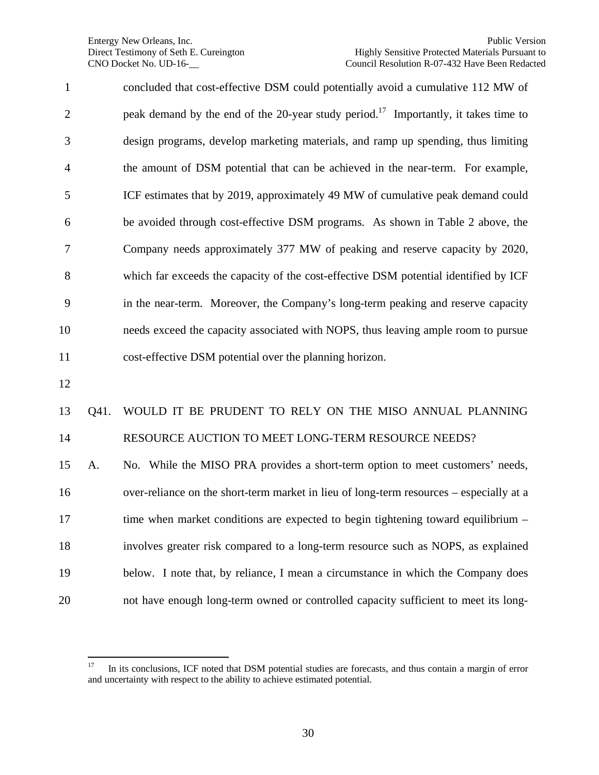concluded that cost-effective DSM could potentially avoid a cumulative 112 MW of 2 beak demand by the end of the 20-year study period.<sup>17</sup> Importantly, it takes time to design programs, develop marketing materials, and ramp up spending, thus limiting the amount of DSM potential that can be achieved in the near-term. For example, ICF estimates that by 2019, approximately 49 MW of cumulative peak demand could be avoided through cost-effective DSM programs. As shown in Table 2 above, the Company needs approximately 377 MW of peaking and reserve capacity by 2020, which far exceeds the capacity of the cost-effective DSM potential identified by ICF in the near-term. Moreover, the Company's long-term peaking and reserve capacity needs exceed the capacity associated with NOPS, thus leaving ample room to pursue cost-effective DSM potential over the planning horizon. Q41. WOULD IT BE PRUDENT TO RELY ON THE MISO ANNUAL PLANNING 14 RESOURCE AUCTION TO MEET LONG-TERM RESOURCE NEEDS? A. No. While the MISO PRA provides a short-term option to meet customers' needs, over-reliance on the short-term market in lieu of long-term resources – especially at a 17 time when market conditions are expected to begin tightening toward equilibrium – involves greater risk compared to a long-term resource such as NOPS, as explained

not have enough long-term owned or controlled capacity sufficient to meet its long-

below. I note that, by reliance, I mean a circumstance in which the Company does

<sup>&</sup>lt;sup>17</sup> In its conclusions, ICF noted that DSM potential studies are forecasts, and thus contain a margin of error and uncertainty with respect to the ability to achieve estimated potential.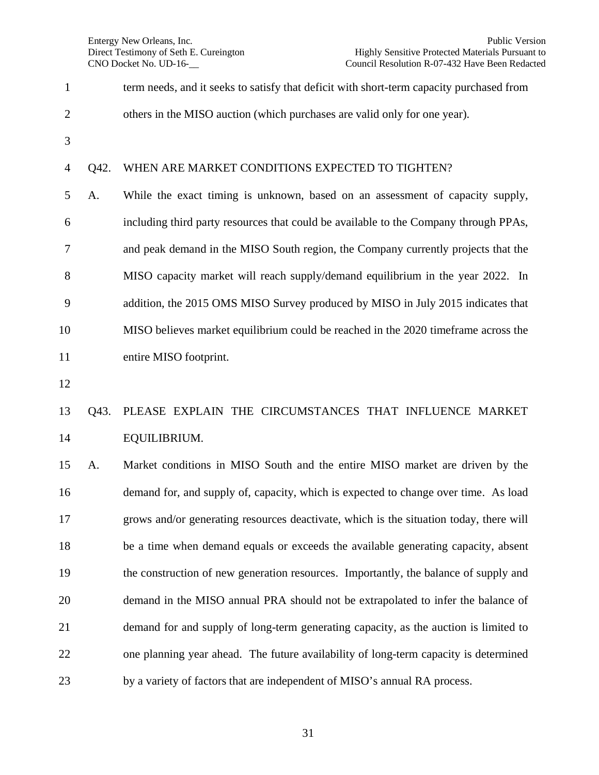| $\mathbf{1}$   |      | term needs, and it seeks to satisfy that deficit with short-term capacity purchased from |
|----------------|------|------------------------------------------------------------------------------------------|
| $\overline{c}$ |      | others in the MISO auction (which purchases are valid only for one year).                |
| 3              |      |                                                                                          |
| 4              | Q42. | WHEN ARE MARKET CONDITIONS EXPECTED TO TIGHTEN?                                          |
| 5              | A.   | While the exact timing is unknown, based on an assessment of capacity supply,            |
| 6              |      | including third party resources that could be available to the Company through PPAs,     |
| 7              |      | and peak demand in the MISO South region, the Company currently projects that the        |
| 8              |      | MISO capacity market will reach supply/demand equilibrium in the year 2022. In           |
| 9              |      | addition, the 2015 OMS MISO Survey produced by MISO in July 2015 indicates that          |
| 10             |      | MISO believes market equilibrium could be reached in the 2020 time frame across the      |
| 11             |      | entire MISO footprint.                                                                   |
| 12             |      |                                                                                          |
| 13             | Q43. | PLEASE EXPLAIN THE CIRCUMSTANCES THAT INFLUENCE MARKET                                   |
| 14             |      | EQUILIBRIUM.                                                                             |
| 15             | A.   | Market conditions in MISO South and the entire MISO market are driven by the             |
| 16             |      | demand for, and supply of, capacity, which is expected to change over time. As load      |
| 17             |      | grows and/or generating resources deactivate, which is the situation today, there will   |
| 18             |      | be a time when demand equals or exceeds the available generating capacity, absent        |
| 19             |      | the construction of new generation resources. Importantly, the balance of supply and     |
| 20             |      | demand in the MISO annual PRA should not be extrapolated to infer the balance of         |
| 21             |      | demand for and supply of long-term generating capacity, as the auction is limited to     |
| 22             |      | one planning year ahead. The future availability of long-term capacity is determined     |

by a variety of factors that are independent of MISO's annual RA process.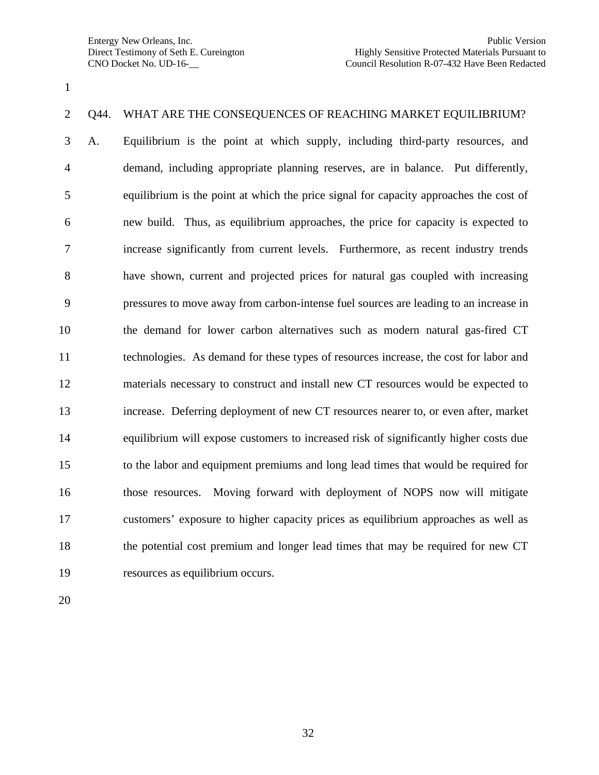#### Q44. WHAT ARE THE CONSEQUENCES OF REACHING MARKET EQUILIBRIUM?

 A. Equilibrium is the point at which supply, including third-party resources, and demand, including appropriate planning reserves, are in balance. Put differently, equilibrium is the point at which the price signal for capacity approaches the cost of new build. Thus, as equilibrium approaches, the price for capacity is expected to increase significantly from current levels. Furthermore, as recent industry trends have shown, current and projected prices for natural gas coupled with increasing pressures to move away from carbon-intense fuel sources are leading to an increase in the demand for lower carbon alternatives such as modern natural gas-fired CT technologies. As demand for these types of resources increase, the cost for labor and materials necessary to construct and install new CT resources would be expected to increase. Deferring deployment of new CT resources nearer to, or even after, market equilibrium will expose customers to increased risk of significantly higher costs due to the labor and equipment premiums and long lead times that would be required for those resources. Moving forward with deployment of NOPS now will mitigate customers' exposure to higher capacity prices as equilibrium approaches as well as the potential cost premium and longer lead times that may be required for new CT resources as equilibrium occurs.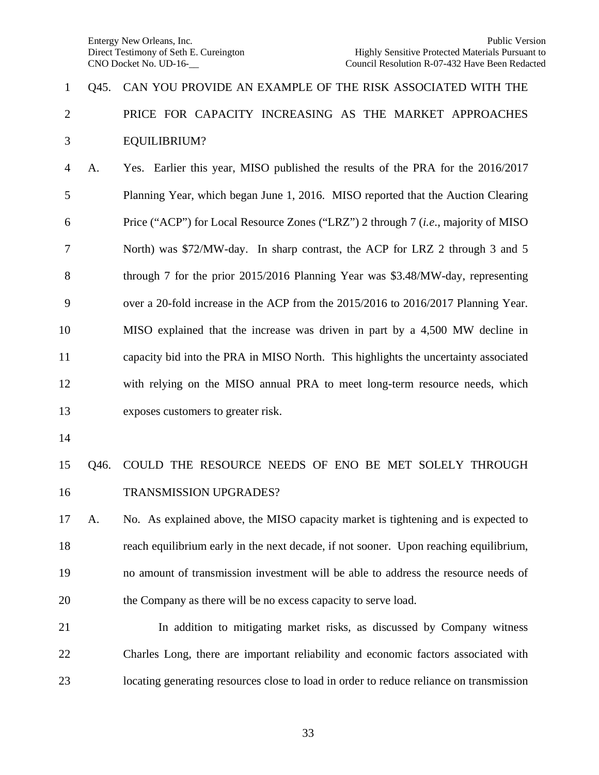# Q45. CAN YOU PROVIDE AN EXAMPLE OF THE RISK ASSOCIATED WITH THE PRICE FOR CAPACITY INCREASING AS THE MARKET APPROACHES EQUILIBRIUM?

 A. Yes. Earlier this year, MISO published the results of the PRA for the 2016/2017 Planning Year, which began June 1, 2016. MISO reported that the Auction Clearing Price ("ACP") for Local Resource Zones ("LRZ") 2 through 7 (*i.e*., majority of MISO North) was \$72/MW-day. In sharp contrast, the ACP for LRZ 2 through 3 and 5 through 7 for the prior 2015/2016 Planning Year was \$3.48/MW-day, representing over a 20-fold increase in the ACP from the 2015/2016 to 2016/2017 Planning Year. MISO explained that the increase was driven in part by a 4,500 MW decline in capacity bid into the PRA in MISO North. This highlights the uncertainty associated with relying on the MISO annual PRA to meet long-term resource needs, which exposes customers to greater risk.

### Q46. COULD THE RESOURCE NEEDS OF ENO BE MET SOLELY THROUGH TRANSMISSION UPGRADES?

 A. No. As explained above, the MISO capacity market is tightening and is expected to reach equilibrium early in the next decade, if not sooner. Upon reaching equilibrium, no amount of transmission investment will be able to address the resource needs of the Company as there will be no excess capacity to serve load.

 In addition to mitigating market risks, as discussed by Company witness Charles Long, there are important reliability and economic factors associated with locating generating resources close to load in order to reduce reliance on transmission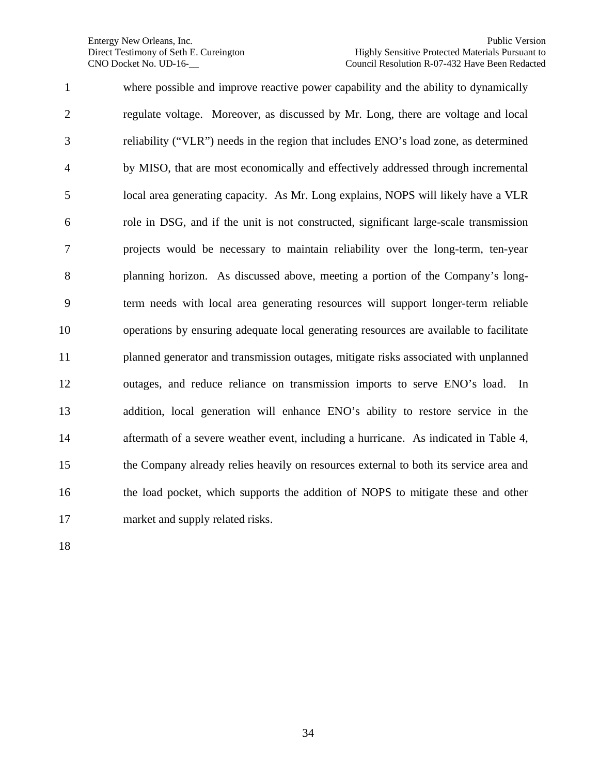where possible and improve reactive power capability and the ability to dynamically regulate voltage. Moreover, as discussed by Mr. Long, there are voltage and local reliability ("VLR") needs in the region that includes ENO's load zone, as determined by MISO, that are most economically and effectively addressed through incremental local area generating capacity. As Mr. Long explains, NOPS will likely have a VLR role in DSG, and if the unit is not constructed, significant large-scale transmission projects would be necessary to maintain reliability over the long-term, ten-year planning horizon. As discussed above, meeting a portion of the Company's long- term needs with local area generating resources will support longer-term reliable operations by ensuring adequate local generating resources are available to facilitate planned generator and transmission outages, mitigate risks associated with unplanned outages, and reduce reliance on transmission imports to serve ENO's load. In addition, local generation will enhance ENO's ability to restore service in the aftermath of a severe weather event, including a hurricane. As indicated in Table 4, the Company already relies heavily on resources external to both its service area and the load pocket, which supports the addition of NOPS to mitigate these and other market and supply related risks.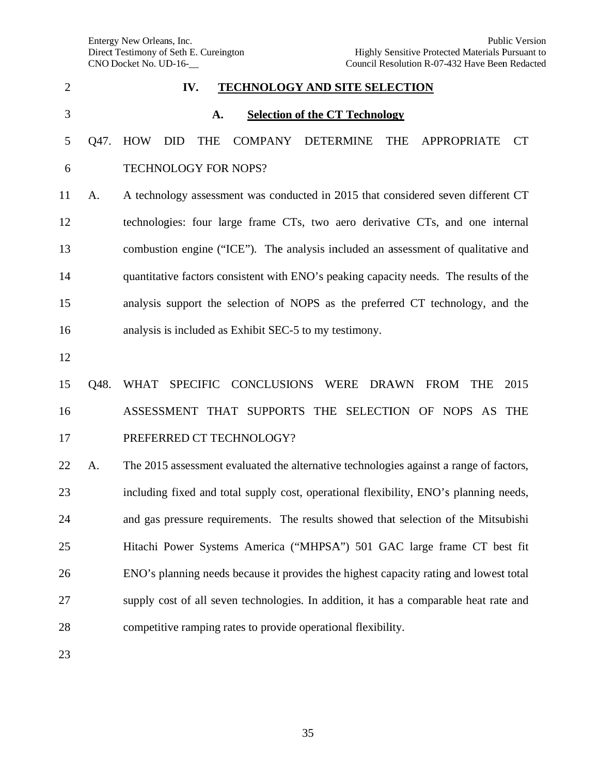Entergy New Orleans, Inc. Direct Testimony of Seth E. Cureington CNO D Docket No. UD D-16-\_\_

| $\overline{2}$ |      | IV.<br><b>TECHNOLOGY AND SITE SELECTION</b>                                                                                   |
|----------------|------|-------------------------------------------------------------------------------------------------------------------------------|
| 3              |      | <b>Selection of the CT Technology</b><br>A.                                                                                   |
| 5              | Q47. | <b>HOW</b><br><b>DID</b><br><b>COMPANY</b><br><b>DETERMINE</b><br><b>THE</b><br><b>APPROPRIATE</b><br><b>CT</b><br><b>THE</b> |
| 6              |      | TECHNOLOGY FOR NOPS?                                                                                                          |
| 11             | A.   | A technology assessment was conducted in 2015 that considered seven different CT                                              |
| 12             |      | technologies: four large frame CTs, two aero derivative CTs, and one internal                                                 |
| 13             |      | combustion engine ("ICE"). The analysis included an assessment of qualitative and                                             |
| 14             |      | quantitative factors consistent with ENO's peaking capacity needs. The results of the                                         |
| 15             |      | analysis support the selection of NOPS as the preferred CT technology, and the                                                |
| 16             |      | analysis is included as Exhibit SEC-5 to my testimony.                                                                        |
| 12             |      |                                                                                                                               |
| 15             | Q48. | SPECIFIC CONCLUSIONS WERE DRAWN<br><b>WHAT</b><br><b>FROM</b><br><b>THE</b><br>2015                                           |
| 16             |      | ASSESSMENT THAT SUPPORTS THE SELECTION OF NOPS AS THE                                                                         |
| 17             |      | PREFERRED CT TECHNOLOGY?                                                                                                      |
| 22             | А.   | The 2015 assessment evaluated the alternative technologies against a range of factors,                                        |
| 23             |      | including fixed and total supply cost, operational flexibility, ENO's planning needs,                                         |
| 24             |      | and gas pressure requirements. The results showed that selection of the Mitsubishi                                            |
| 25             |      | Hitachi Power Systems America ("MHPSA") 501 GAC large frame CT best fit                                                       |
| 26             |      | ENO's planning needs because it provides the highest capacity rating and lowest total                                         |
| 27             |      | supply cost of all seven technologies. In addition, it has a comparable heat rate and                                         |
| 28             |      | competitive ramping rates to provide operational flexibility.                                                                 |
|                |      |                                                                                                                               |

23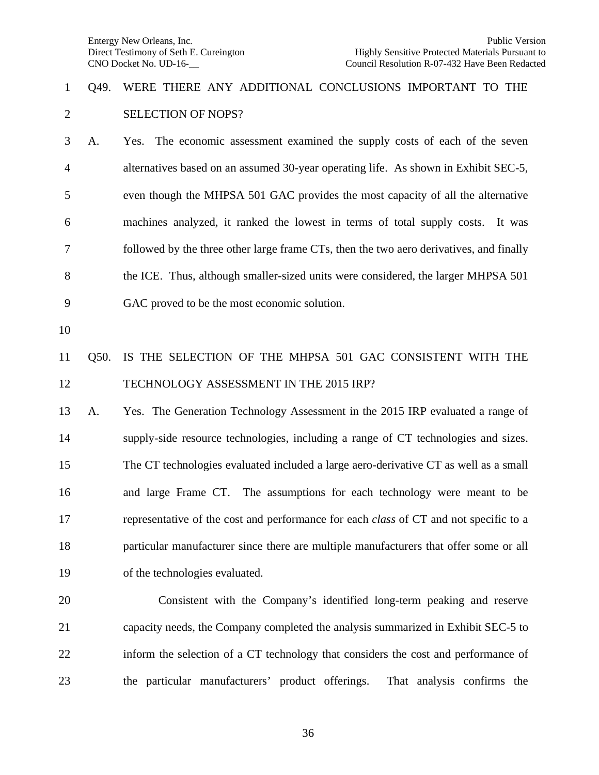### Q49. WERE THERE ANY ADDITIONAL CONCLUSIONS IMPORTANT TO THE SELECTION OF NOPS?

 A. Yes. The economic assessment examined the supply costs of each of the seven alternatives based on an assumed 30-year operating life. As shown in Exhibit SEC-5, even though the MHPSA 501 GAC provides the most capacity of all the alternative machines analyzed, it ranked the lowest in terms of total supply costs. It was followed by the three other large frame CTs, then the two aero derivatives, and finally the ICE. Thus, although smaller-sized units were considered, the larger MHPSA 501 GAC proved to be the most economic solution.

### Q50. IS THE SELECTION OF THE MHPSA 501 GAC CONSISTENT WITH THE 12 TECHNOLOGY ASSESSMENT IN THE 2015 IRP?

 A. Yes. The Generation Technology Assessment in the 2015 IRP evaluated a range of supply-side resource technologies, including a range of CT technologies and sizes. The CT technologies evaluated included a large aero-derivative CT as well as a small and large Frame CT. The assumptions for each technology were meant to be representative of the cost and performance for each *class* of CT and not specific to a particular manufacturer since there are multiple manufacturers that offer some or all of the technologies evaluated.

20 Consistent with the Company's identified long-term peaking and reserve capacity needs, the Company completed the analysis summarized in Exhibit SEC-5 to inform the selection of a CT technology that considers the cost and performance of the particular manufacturers' product offerings. That analysis confirms the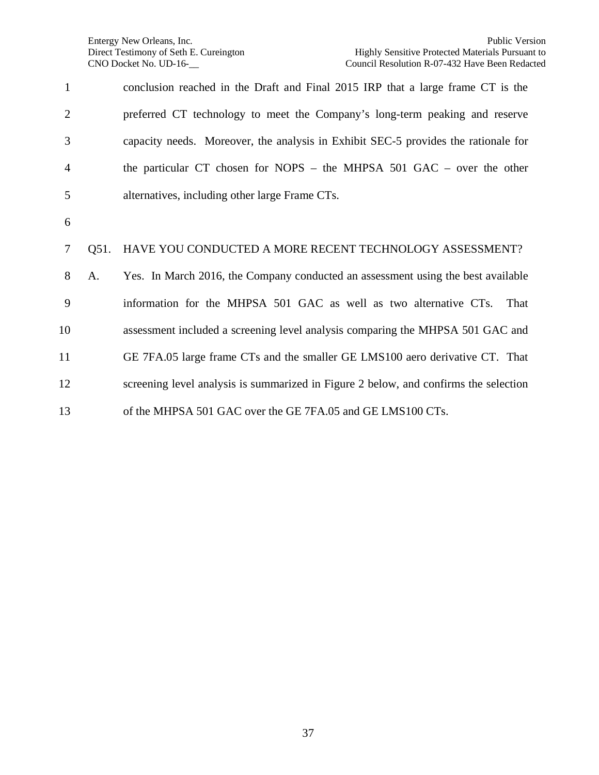| $\mathbf{1}$   |      | conclusion reached in the Draft and Final 2015 IRP that a large frame CT is the      |
|----------------|------|--------------------------------------------------------------------------------------|
| $\overline{2}$ |      | preferred CT technology to meet the Company's long-term peaking and reserve          |
| 3              |      | capacity needs. Moreover, the analysis in Exhibit SEC-5 provides the rationale for   |
| $\overline{4}$ |      | the particular CT chosen for NOPS – the MHPSA $501$ GAC – over the other             |
| 5              |      | alternatives, including other large Frame CTs.                                       |
| 6              |      |                                                                                      |
| 7              | Q51. | HAVE YOU CONDUCTED A MORE RECENT TECHNOLOGY ASSESSMENT?                              |
| 8              | A.   | Yes. In March 2016, the Company conducted an assessment using the best available     |
| 9              |      | information for the MHPSA 501 GAC as well as two alternative CTs.<br>That            |
| 10             |      | assessment included a screening level analysis comparing the MHPSA 501 GAC and       |
| 11             |      | GE 7FA.05 large frame CTs and the smaller GE LMS100 aero derivative CT. That         |
| 12             |      | screening level analysis is summarized in Figure 2 below, and confirms the selection |
| 13             |      | of the MHPSA 501 GAC over the GE 7FA.05 and GE LMS100 CTs.                           |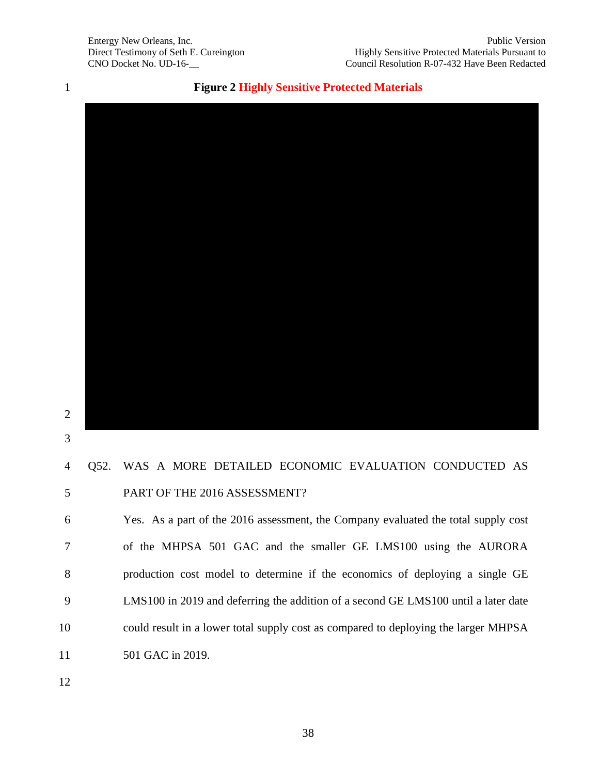**Figure 2 Highly Sensitive Protected Materials**



 

# Q52. WAS A MORE DETAILED ECONOMIC EVALUATION CONDUCTED AS PART OF THE 2016 ASSESSMENT?

 Yes. As a part of the 2016 assessment, the Company evaluated the total supply cost of the MHPSA 501 GAC and the smaller GE LMS100 using the AURORA production cost model to determine if the economics of deploying a single GE LMS100 in 2019 and deferring the addition of a second GE LMS100 until a later date could result in a lower total supply cost as compared to deploying the larger MHPSA 11 501 GAC in 2019.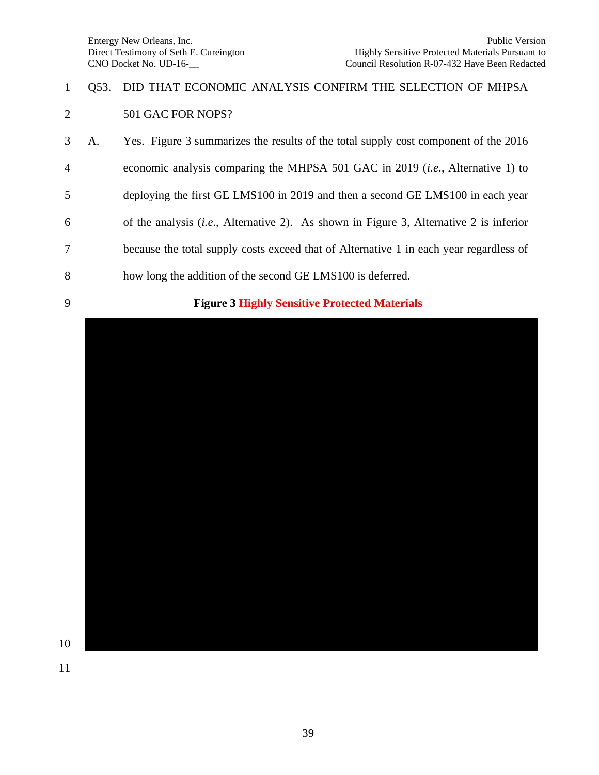### Q53. DID THAT ECONOMIC ANALYSIS CONFIRM THE SELECTION OF MHPSA 501 GAC FOR NOPS?

- A. Yes. Figure 3 summarizes the results of the total supply cost component of the 2016
- economic analysis comparing the MHPSA 501 GAC in 2019 (*i.e*., Alternative 1) to
- deploying the first GE LMS100 in 2019 and then a second GE LMS100 in each year
- of the analysis (*i.e*., Alternative 2). As shown in Figure 3, Alternative 2 is inferior
- because the total supply costs exceed that of Alternative 1 in each year regardless of
- how long the addition of the second GE LMS100 is deferred.
- 

#### **Figure 3 Highly Sensitive Protected Materials**

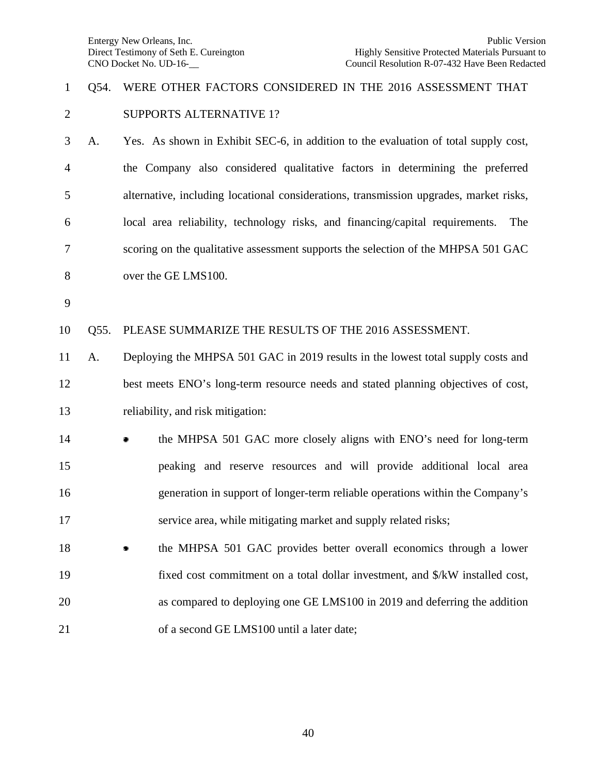### Q54. WERE OTHER FACTORS CONSIDERED IN THE 2016 ASSESSMENT THAT SUPPORTS ALTERNATIVE 1?

 A. Yes. As shown in Exhibit SEC-6, in addition to the evaluation of total supply cost, the Company also considered qualitative factors in determining the preferred alternative, including locational considerations, transmission upgrades, market risks, local area reliability, technology risks, and financing/capital requirements. The scoring on the qualitative assessment supports the selection of the MHPSA 501 GAC over the GE LMS100.

Q55. PLEASE SUMMARIZE THE RESULTS OF THE 2016 ASSESSMENT.

 A. Deploying the MHPSA 501 GAC in 2019 results in the lowest total supply costs and best meets ENO's long-term resource needs and stated planning objectives of cost, reliability, and risk mitigation:

- **the MHPSA 501 GAC** more closely aligns with ENO's need for long-term peaking and reserve resources and will provide additional local area generation in support of longer-term reliable operations within the Company's service area, while mitigating market and supply related risks;
- **the MHPSA 501 GAC provides better overall economics through a lower**  fixed cost commitment on a total dollar investment, and \$/kW installed cost, as compared to deploying one GE LMS100 in 2019 and deferring the addition 21 of a second GE LMS100 until a later date;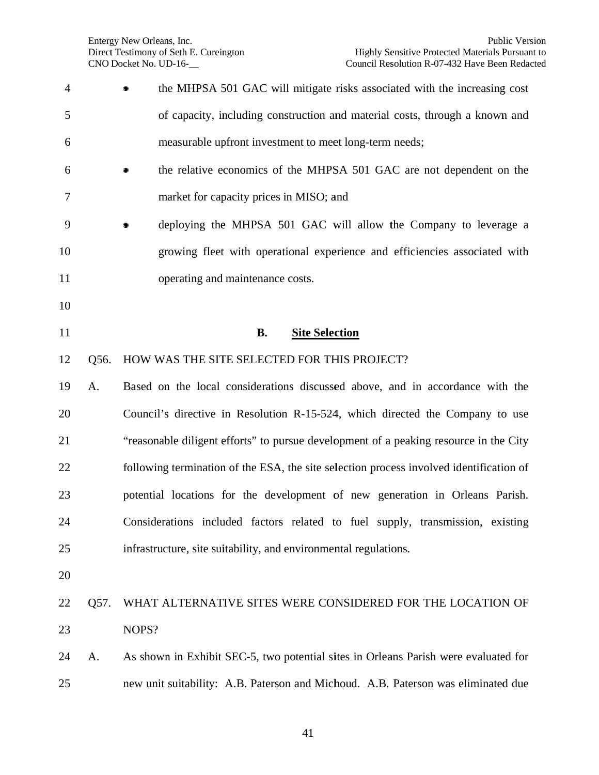| $\overline{4}$ |      | the MHPSA 501 GAC will mitigate risks associated with the increasing cost               |
|----------------|------|-----------------------------------------------------------------------------------------|
| 5              |      | of capacity, including construction and material costs, through a known and             |
| 6              |      | measurable upfront investment to meet long-term needs;                                  |
| 6              |      | the relative economics of the MHPSA 501 GAC are not dependent on the                    |
| 7              |      | market for capacity prices in MISO; and                                                 |
| 9              |      | deploying the MHPSA 501 GAC will allow the Company to leverage a                        |
| 10             |      | growing fleet with operational experience and efficiencies associated with              |
| 11             |      | operating and maintenance costs.                                                        |
| 10             |      |                                                                                         |
| 11             |      | <b>B.</b><br><b>Site Selection</b>                                                      |
| 12             | Q56. | HOW WAS THE SITE SELECTED FOR THIS PROJECT?                                             |
| 19             | A.   | Based on the local considerations discussed above, and in accordance with the           |
| 20             |      | Council's directive in Resolution R-15-524, which directed the Company to use           |
| 21             |      | "reasonable diligent efforts" to pursue development of a peaking resource in the City   |
| 22             |      | following termination of the ESA, the site selection process involved identification of |
| 23             |      | potential locations for the development of new generation in Orleans Parish.            |
| 24             |      | Considerations included factors related to fuel supply, transmission, existing          |
| 25             |      | infrastructure, site suitability, and environmental regulations.                        |
| 20             |      |                                                                                         |
| 22             | Q57. | WHAT ALTERNATIVE SITES WERE CONSIDERED FOR THE LOCATION OF                              |
| 23             |      | NOPS?                                                                                   |
| 24             | A.   | As shown in Exhibit SEC-5, two potential sites in Orleans Parish were evaluated for     |
| 25             |      | new unit suitability: A.B. Paterson and Michoud. A.B. Paterson was eliminated due       |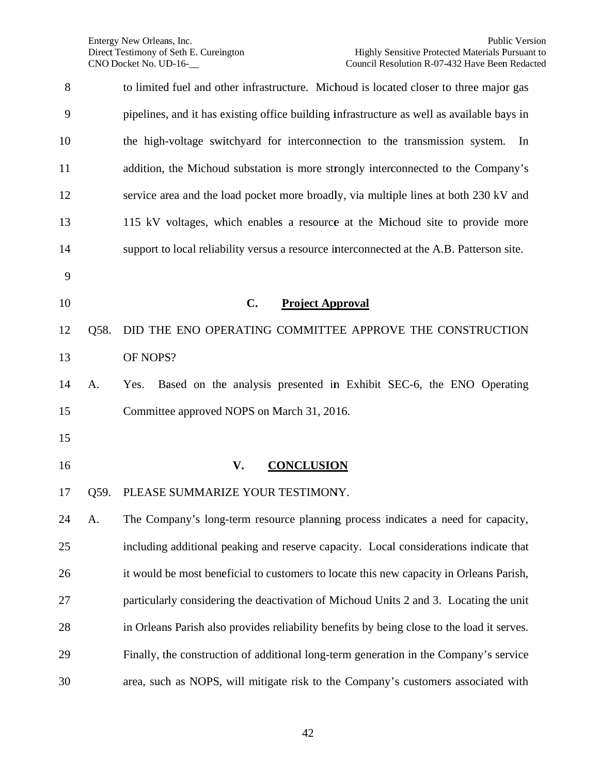| 8  |      | to limited fuel and other infrastructure. Michoud is located closer to three major gas     |
|----|------|--------------------------------------------------------------------------------------------|
| 9  |      | pipelines, and it has existing office building infrastructure as well as available bays in |
| 10 |      | the high-voltage switchyard for interconnection to the transmission system.<br>In          |
| 11 |      | addition, the Michoud substation is more strongly interconnected to the Company's          |
| 12 |      | service area and the load pocket more broadly, via multiple lines at both 230 kV and       |
| 13 |      | 115 kV voltages, which enables a resource at the Michoud site to provide more              |
| 14 |      | support to local reliability versus a resource interconnected at the A.B. Patterson site.  |
| 9  |      |                                                                                            |
| 10 |      | $C_{\bullet}$<br><b>Project Approval</b>                                                   |
| 12 | Q58. | DID THE ENO OPERATING COMMITTEE APPROVE THE CONSTRUCTION                                   |
| 13 |      | OF NOPS?                                                                                   |
| 14 | A.   | Based on the analysis presented in Exhibit SEC-6, the ENO Operating<br>Yes.                |
| 15 |      | Committee approved NOPS on March 31, 2016.                                                 |
| 15 |      |                                                                                            |
| 16 |      | <b>CONCLUSION</b><br>V.                                                                    |
| 17 | Q59. | PLEASE SUMMARIZE YOUR TESTIMONY.                                                           |
| 24 | A.   | The Company's long-term resource planning process indicates a need for capacity,           |
| 25 |      | including additional peaking and reserve capacity. Local considerations indicate that      |
| 26 |      | it would be most beneficial to customers to locate this new capacity in Orleans Parish,    |
| 27 |      | particularly considering the deactivation of Michoud Units 2 and 3. Locating the unit      |
| 28 |      | in Orleans Parish also provides reliability benefits by being close to the load it serves. |
| 29 |      | Finally, the construction of additional long-term generation in the Company's service      |
| 30 |      | area, such as NOPS, will mitigate risk to the Company's customers associated with          |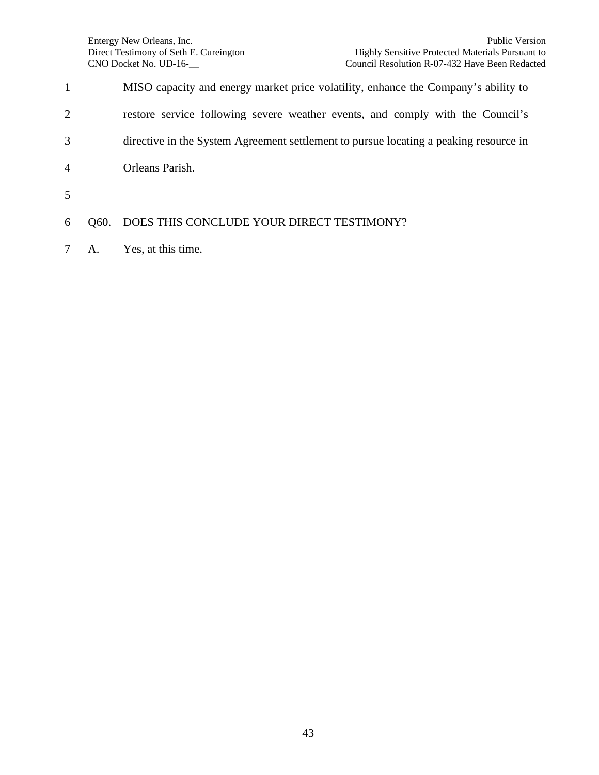| $\mathbf{1}$   |      | MISO capacity and energy market price volatility, enhance the Company's ability to    |
|----------------|------|---------------------------------------------------------------------------------------|
| $\overline{2}$ |      | restore service following severe weather events, and comply with the Council's        |
| 3              |      | directive in the System Agreement settlement to pursue locating a peaking resource in |
| $\overline{4}$ |      | Orleans Parish.                                                                       |
| 5              |      |                                                                                       |
| 6              | O60. | DOES THIS CONCLUDE YOUR DIRECT TESTIMONY?                                             |
|                |      |                                                                                       |

A. Yes, at this time.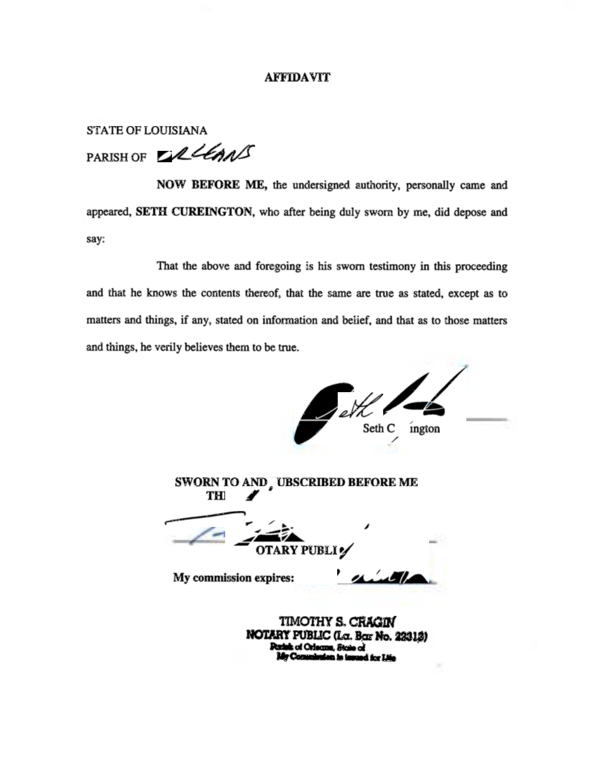#### **AFFIDAVIT**

**STATE OF LOUISIANA** 

PARISH OF DRUGANS

NOW BEFORE ME, the undersigned authority, personally came and appeared, SETH CUREINGTON, who after being duly sworn by me, did depose and say:

That the above and foregoing is his sworn testimony in this proceeding and that he knows the contents thereof, that the same are true as stated, except as to matters and things, if any, stated on information and belief, and that as to those matters and things, he verily believes them to be true.

Seth C ington SWORN TO AND , UBSCRIBED BEFORE ME THI **OTARY PUBLI** My commission expires: TIMOTHY S. CRACIN NOTARY PUBLIC (La. Bar No. 22312)

**Design of Orleans**, State of Comminden in insued for Life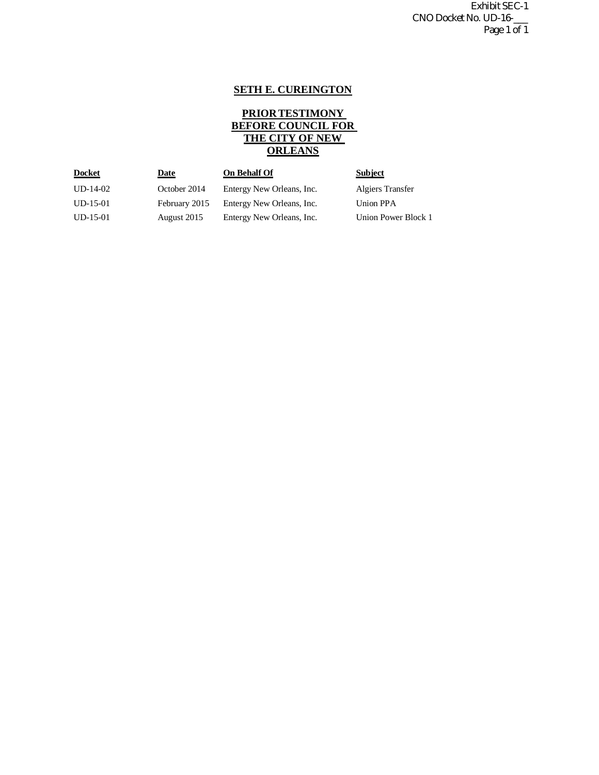Exhibit SEC-1 CNO Docket No. UD-16-\_\_\_ Page 1 of 1

#### **SETH E. CUREINGTON**

#### **PRIOR TESTIMONY BEFORE COUNCIL FOR THE CITY OF NEW ORLEANS**

| <u>Docket</u> | <u>Date</u>   | <b>On Behalf Of</b>       | <b>Subject</b>          |
|---------------|---------------|---------------------------|-------------------------|
| $UD-14-02$    | October 2014  | Entergy New Orleans, Inc. | <b>Algiers Transfer</b> |
| $UD-15-01$    | February 2015 | Entergy New Orleans, Inc. | Union PPA               |
| $UD-15-01$    | August 2015   | Entergy New Orleans, Inc. | Union Power Block 1     |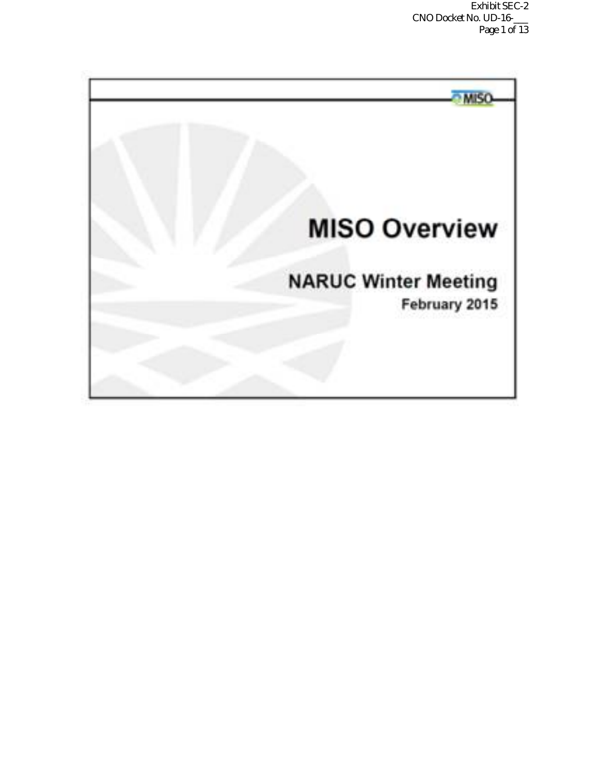Exhibit SEC-2 CNO Docket No. UD-16-\_\_\_ Page 1 of 13

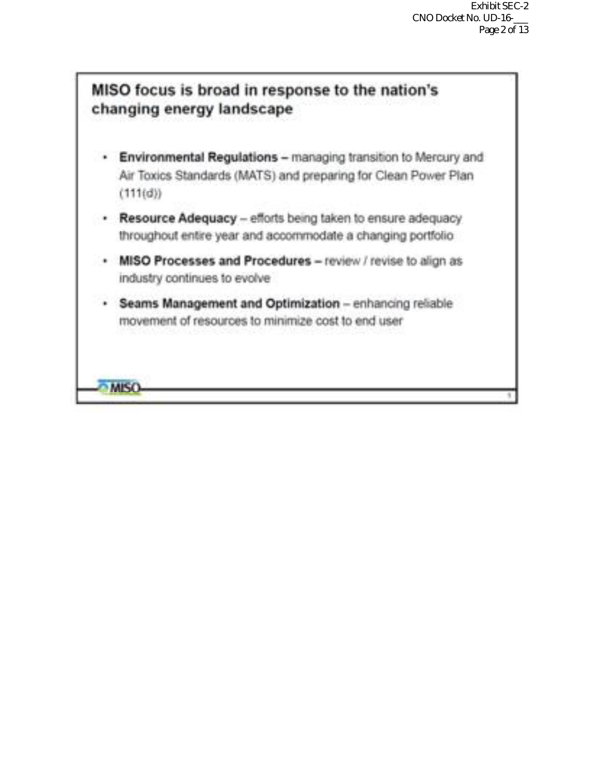

- Environmental Regulations managing transition to Mercury and Air Toxics Standards (MATS) and preparing for Clean Power Plan  $(111(0))$
- . Resource Adequacy efforts being taken to ensure adequacy throughout entire year and accommodate a changing portfolio
- MISO Processes and Procedures review / revise to align as industry continues to evolve
- · Seams Management and Optimization enhancing reliable movement of resources to minimize cost to end user

**MISO**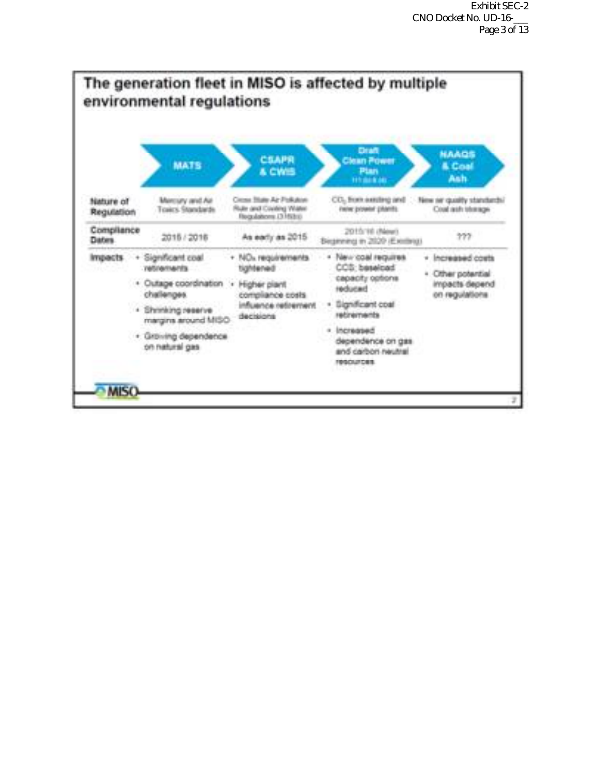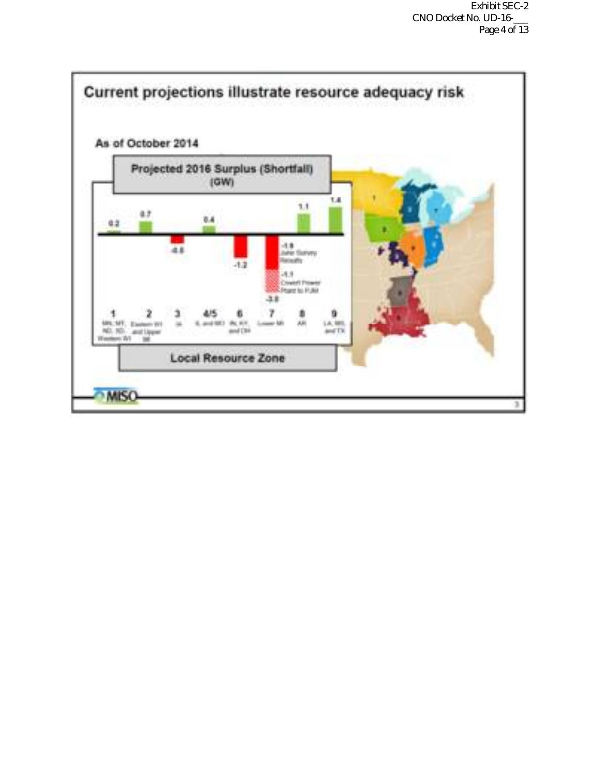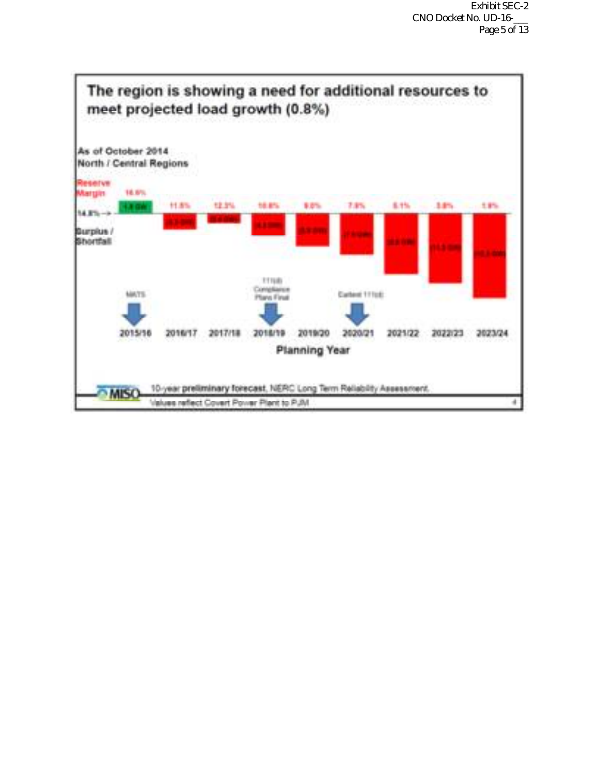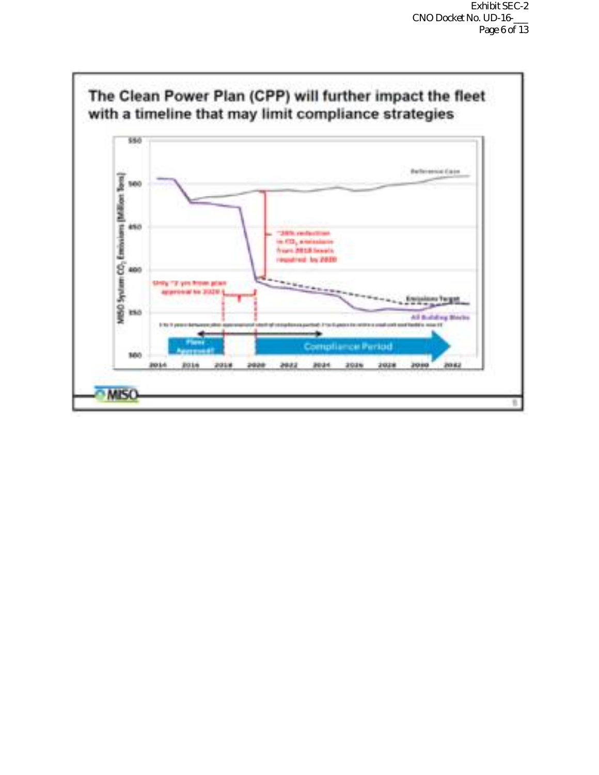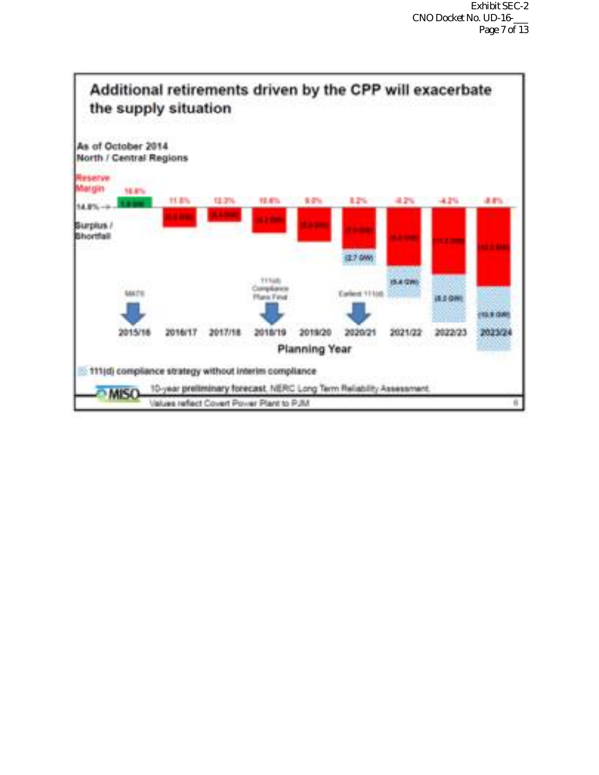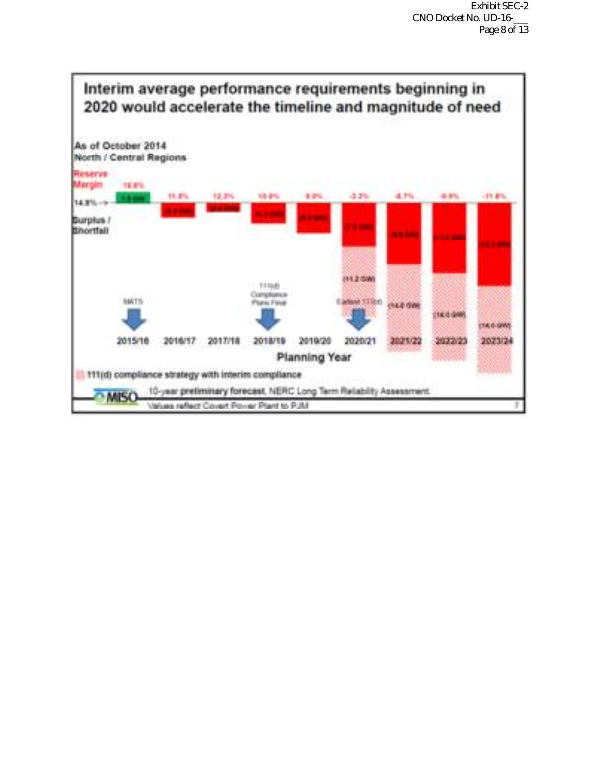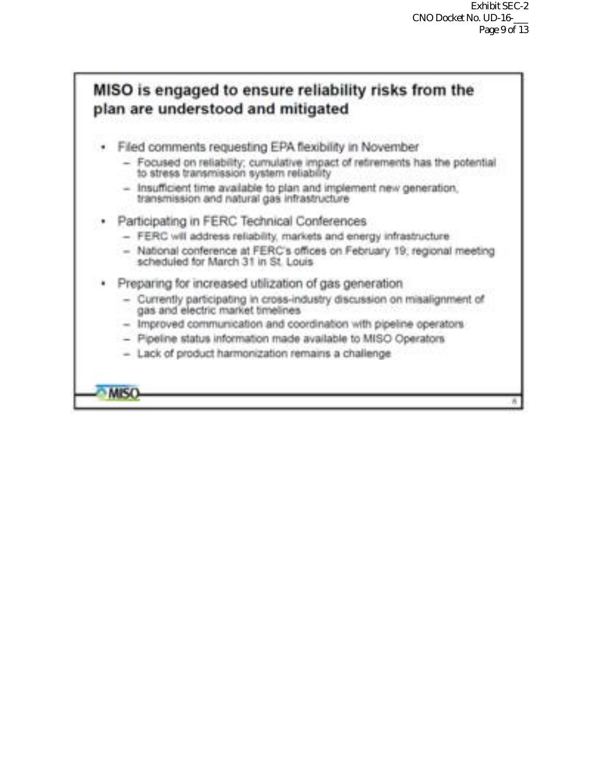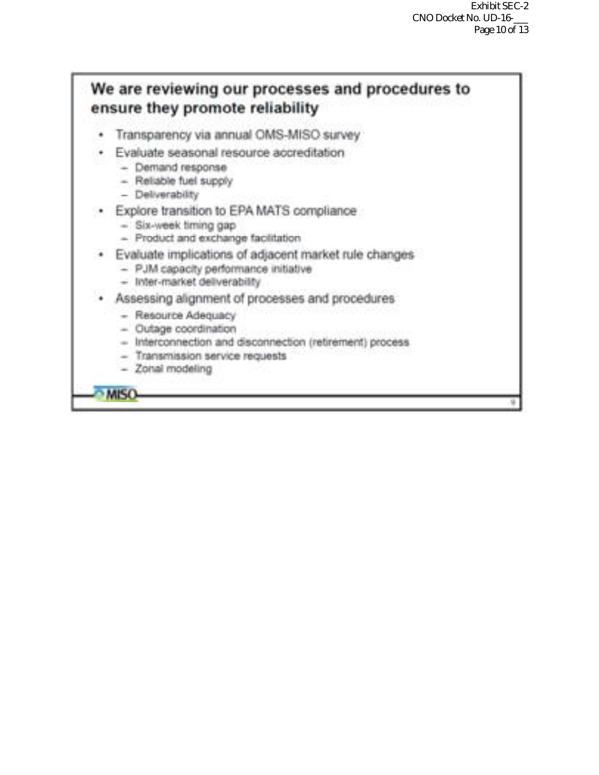# We are reviewing our processes and procedures to ensure they promote reliability

- Transparency via annual OMS-MISO survey ٠
- Evaluate seasonal resource accreditation
	- Demand response
	- Reliable fuel supply
	- Deliverability
- · Explore transition to EPA MATS compliance
	- Six-week timing gap
	- Product and exchange facilitation
- · Evaluate implications of adjacent market rule changes
	- PJM capacity performance initiative
	- Inter-market deliverability
- · Assessing alignment of processes and procedures
	- Resource Adequacy
	- $-$  Outage coordination
	- Interconnection and disconnection (retirement) process
	- Transmission service requests
	- Zonal modeling

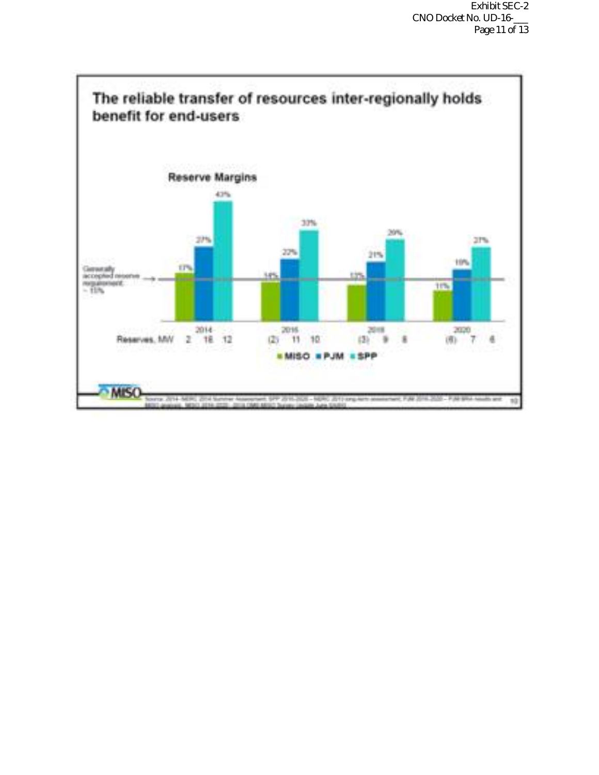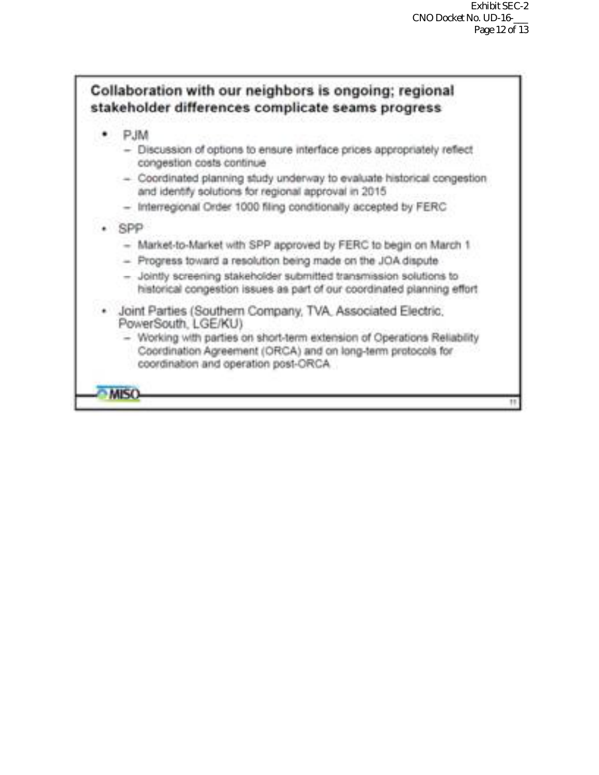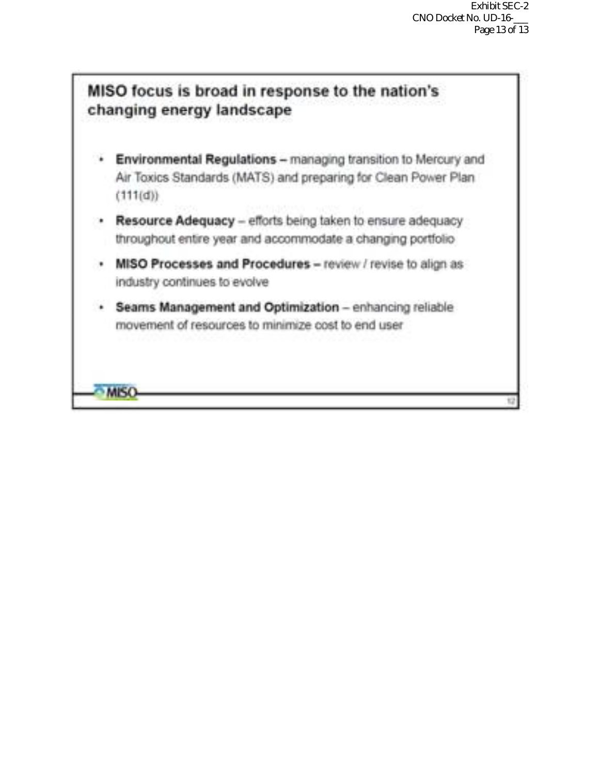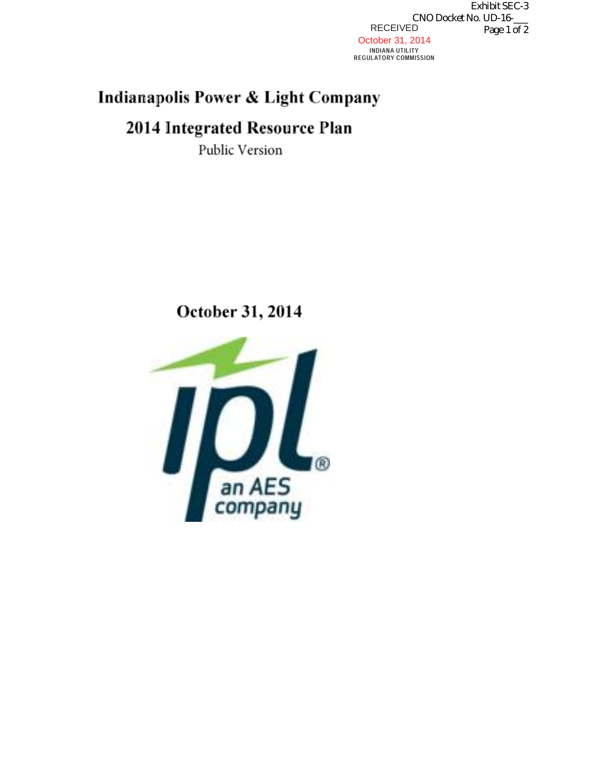RECEIVED October 31, 2014 INDIANA UTILITY<br>REGULATORY COMMISSION Exhibit SEC-3 CNO Docket No. UD-16-\_\_\_ Page 1 of 2

### Indianapolis Power & Light Company

## 2014 Integrated Resource Plan

Public Version

October 31, 2014